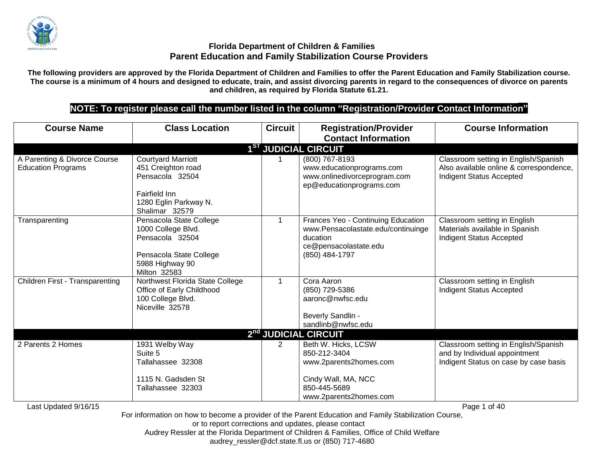

**The following providers are approved by the Florida Department of Children and Families to offer the Parent Education and Family Stabilization course. The course is a minimum of 4 hours and designed to educate, train, and assist divorcing parents in regard to the consequences of divorce on parents and children, as required by Florida Statute 61.21.**

# **NOTE: To register please call the number listed in the column "Registration/Provider Contact Information"**

| <b>Course Name</b>                                        | <b>Class Location</b>                                                                                                          | <b>Circuit</b> | <b>Registration/Provider</b>                                                                                                    | <b>Course Information</b>                                                                                          |
|-----------------------------------------------------------|--------------------------------------------------------------------------------------------------------------------------------|----------------|---------------------------------------------------------------------------------------------------------------------------------|--------------------------------------------------------------------------------------------------------------------|
|                                                           |                                                                                                                                |                | <b>Contact Information</b>                                                                                                      |                                                                                                                    |
|                                                           |                                                                                                                                |                | 1 <sup>ST</sup> JUDICIAL CIRCUIT                                                                                                |                                                                                                                    |
| A Parenting & Divorce Course<br><b>Education Programs</b> | <b>Courtyard Marriott</b><br>451 Creighton road<br>Pensacola 32504<br>Fairfield Inn<br>1280 Eglin Parkway N.<br>Shalimar 32579 |                | (800) 767-8193<br>www.educationprograms.com<br>www.onlinedivorceprogram.com<br>ep@educationprograms.com                         | Classroom setting in English/Spanish<br>Also available online & correspondence,<br><b>Indigent Status Accepted</b> |
| Transparenting                                            | Pensacola State College<br>1000 College Blvd.<br>Pensacola 32504<br>Pensacola State College<br>5988 Highway 90<br>Milton 32583 | 1              | Frances Yeo - Continuing Education<br>www.Pensacolastate.edu/continuinge<br>ducation<br>ce@pensacolastate.edu<br>(850) 484-1797 | Classroom setting in English<br>Materials available in Spanish<br><b>Indigent Status Accepted</b>                  |
| Children First - Transparenting                           | Northwest Florida State College<br>Office of Early Childhood<br>100 College Blvd.<br>Niceville 32578                           | 1              | Cora Aaron<br>(850) 729-5386<br>aaronc@nwfsc.edu<br>Beverly Sandlin -<br>sandlinb@nwfsc.edu                                     | Classroom setting in English<br><b>Indigent Status Accepted</b>                                                    |
|                                                           |                                                                                                                                |                | 2nd JUDICIAL CIRCUIT                                                                                                            |                                                                                                                    |
| 2 Parents 2 Homes                                         | 1931 Welby Way<br>Suite 5<br>Tallahassee 32308<br>1115 N. Gadsden St                                                           | $\overline{2}$ | Beth W. Hicks, LCSW<br>850-212-3404<br>www.2parents2homes.com<br>Cindy Wall, MA, NCC                                            | Classroom setting in English/Spanish<br>and by Individual appointment<br>Indigent Status on case by case basis     |
| Last Updated 9/16/15                                      | Tallahassee 32303                                                                                                              |                | 850-445-5689<br>www.2parents2homes.com                                                                                          | Page 1 of 40                                                                                                       |

For information on how to become a provider of the Parent Education and Family Stabilization Course, or to report corrections and updates, please contact

Audrey Ressler at the Florida Department of Children & Families, Office of Child Welfare

audrey\_ressler@dcf.state.fl.us or (850) 717-4680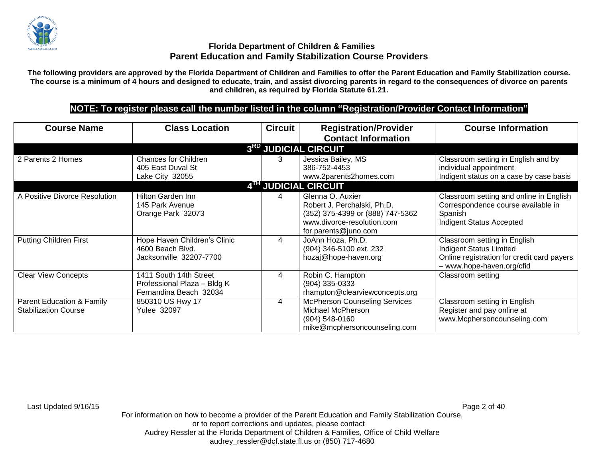

**The following providers are approved by the Florida Department of Children and Families to offer the Parent Education and Family Stabilization course. The course is a minimum of 4 hours and designed to educate, train, and assist divorcing parents in regard to the consequences of divorce on parents and children, as required by Florida Statute 61.21.**

# **NOTE: To register please call the number listed in the column "Registration/Provider Contact Information"**

| <b>Course Name</b>                                                  | <b>Class Location</b>                                                           | <b>Circuit</b> | <b>Registration/Provider</b><br><b>Contact Information</b>                                                                                | <b>Course Information</b>                                                                                                                 |
|---------------------------------------------------------------------|---------------------------------------------------------------------------------|----------------|-------------------------------------------------------------------------------------------------------------------------------------------|-------------------------------------------------------------------------------------------------------------------------------------------|
|                                                                     |                                                                                 |                | 3RD JUDICIAL CIRCUIT                                                                                                                      |                                                                                                                                           |
| 2 Parents 2 Homes                                                   | <b>Chances for Children</b><br>405 East Duval St<br>Lake City 32055             | 3              | Jessica Bailey, MS<br>386-752-4453<br>www.2parents2homes.com                                                                              | Classroom setting in English and by<br>individual appointment<br>Indigent status on a case by case basis                                  |
|                                                                     |                                                                                 |                | 4TH JUDICIAL CIRCUIT                                                                                                                      |                                                                                                                                           |
| A Positive Divorce Resolution                                       | Hilton Garden Inn<br>145 Park Avenue<br>Orange Park 32073                       |                | Glenna O. Auxier<br>Robert J. Perchalski, Ph.D.<br>(352) 375-4399 or (888) 747-5362<br>www.divorce-resolution.com<br>for.parents@juno.com | Classroom setting and online in English<br>Correspondence course available in<br>Spanish<br>Indigent Status Accepted                      |
| <b>Putting Children First</b>                                       | Hope Haven Children's Clinic<br>4600 Beach Blvd.<br>Jacksonville 32207-7700     | $\overline{4}$ | JoAnn Hoza, Ph.D.<br>(904) 346-5100 ext. 232<br>hozaj@hope-haven.org                                                                      | Classroom setting in English<br><b>Indigent Status Limited</b><br>Online registration for credit card payers<br>- www.hope-haven.org/cfid |
| <b>Clear View Concepts</b>                                          | 1411 South 14th Street<br>Professional Plaza - Bldg K<br>Fernandina Beach 32034 | 4              | Robin C. Hampton<br>(904) 335-0333<br>rhampton@clearviewconcepts.org                                                                      | Classroom setting                                                                                                                         |
| <b>Parent Education &amp; Family</b><br><b>Stabilization Course</b> | 850310 US Hwy 17<br><b>Yulee 32097</b>                                          | 4              | <b>McPherson Counseling Services</b><br>Michael McPherson<br>$(904) 548 - 0160$<br>mike@mcphersoncounseling.com                           | Classroom setting in English<br>Register and pay online at<br>www.Mcphersoncounseling.com                                                 |

Last Updated 9/16/15 Page 2 of 40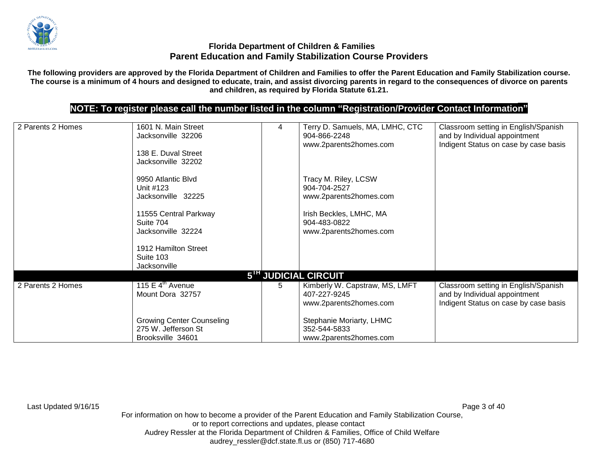

**The following providers are approved by the Florida Department of Children and Families to offer the Parent Education and Family Stabilization course. The course is a minimum of 4 hours and designed to educate, train, and assist divorcing parents in regard to the consequences of divorce on parents and children, as required by Florida Statute 61.21.**

# **NOTE: To register please call the number listed in the column "Registration/Provider Contact Information"**

| 2 Parents 2 Homes | 1601 N. Main Street<br>Jacksonville 32206<br>138 E. Duval Street             | 4 | Terry D. Samuels, MA, LMHC, CTC<br>904-866-2248<br>www.2parents2homes.com | Classroom setting in English/Spanish<br>and by Individual appointment<br>Indigent Status on case by case basis |
|-------------------|------------------------------------------------------------------------------|---|---------------------------------------------------------------------------|----------------------------------------------------------------------------------------------------------------|
|                   | Jacksonville 32202                                                           |   |                                                                           |                                                                                                                |
|                   | 9950 Atlantic Blvd<br>Unit #123<br>Jacksonville 32225                        |   | Tracy M. Riley, LCSW<br>904-704-2527<br>www.2parents2homes.com            |                                                                                                                |
|                   | 11555 Central Parkway<br>Suite 704<br>Jacksonville 32224                     |   | Irish Beckles, LMHC, MA<br>904-483-0822<br>www.2parents2homes.com         |                                                                                                                |
|                   | 1912 Hamilton Street<br>Suite 103<br>Jacksonville                            |   |                                                                           |                                                                                                                |
|                   |                                                                              |   | 5 <sup>TH</sup> JUDICIAL CIRCUIT                                          |                                                                                                                |
| 2 Parents 2 Homes | 115 E $4^{\text{th}}$ Avenue<br>Mount Dora 32757                             | 5 | Kimberly W. Capstraw, MS, LMFT<br>407-227-9245<br>www.2parents2homes.com  | Classroom setting in English/Spanish<br>and by Individual appointment<br>Indigent Status on case by case basis |
|                   | <b>Growing Center Counseling</b><br>275 W. Jefferson St<br>Brooksville 34601 |   | Stephanie Moriarty, LHMC<br>352-544-5833<br>www.2parents2homes.com        |                                                                                                                |

Last Updated 9/16/15 Page 3 of 40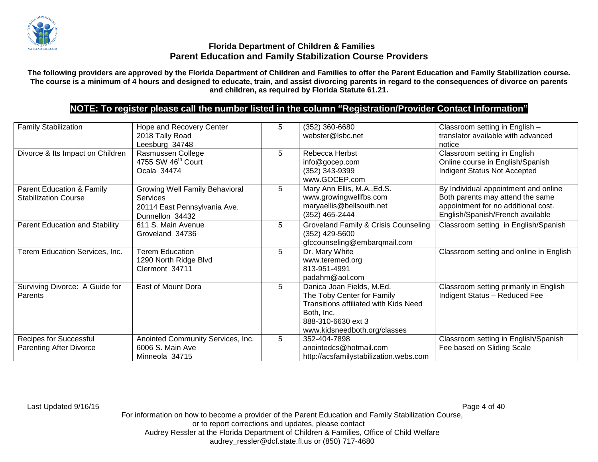

**The following providers are approved by the Florida Department of Children and Families to offer the Parent Education and Family Stabilization course. The course is a minimum of 4 hours and designed to educate, train, and assist divorcing parents in regard to the consequences of divorce on parents and children, as required by Florida Statute 61.21.**

# **NOTE: To register please call the number listed in the column "Registration/Provider Contact Information"**

| <b>Family Stabilization</b>                                         | Hope and Recovery Center<br>2018 Tally Road<br>Leesburg 34748                                        | 5 | (352) 360-6680<br>webster@lsbc.net                                                                                                                                   | Classroom setting in English -<br>translator available with advanced<br>notice                                                                      |
|---------------------------------------------------------------------|------------------------------------------------------------------------------------------------------|---|----------------------------------------------------------------------------------------------------------------------------------------------------------------------|-----------------------------------------------------------------------------------------------------------------------------------------------------|
| Divorce & Its Impact on Children                                    | Rasmussen College<br>4755 SW 46 <sup>th</sup> Court<br>Ocala 34474                                   | 5 | Rebecca Herbst<br>info@gocep.com<br>$(352)$ 343-9399<br>www.GOCEP.com                                                                                                | Classroom setting in English<br>Online course in English/Spanish<br>Indigent Status Not Accepted                                                    |
| <b>Parent Education &amp; Family</b><br><b>Stabilization Course</b> | <b>Growing Well Family Behavioral</b><br>Services<br>20114 East Pennsylvania Ave.<br>Dunnellon 34432 | 5 | Mary Ann Ellis, M.A., Ed.S.<br>www.growingwellfbs.com<br>maryaellis@bellsouth.net<br>(352) 465-2444                                                                  | By Individual appointment and online<br>Both parents may attend the same<br>appointment for no additional cost.<br>English/Spanish/French available |
| Parent Education and Stability                                      | 611 S. Main Avenue<br>Groveland 34736                                                                | 5 | Groveland Family & Crisis Counseling<br>(352) 429-5600<br>gfccounseling@embarqmail.com                                                                               | Classroom setting in English/Spanish                                                                                                                |
| Terem Education Services, Inc.                                      | <b>Terem Education</b><br>1290 North Ridge Blvd<br>Clermont 34711                                    | 5 | Dr. Mary White<br>www.teremed.org<br>813-951-4991<br>padahm@aol.com                                                                                                  | Classroom setting and online in English                                                                                                             |
| Surviving Divorce: A Guide for<br>Parents                           | East of Mount Dora                                                                                   | 5 | Danica Joan Fields, M.Ed.<br>The Toby Center for Family<br>Transitions affiliated with Kids Need<br>Both, Inc.<br>888-310-6630 ext 3<br>www.kidsneedboth.org/classes | Classroom setting primarily in English<br>Indigent Status - Reduced Fee                                                                             |
| Recipes for Successful<br><b>Parenting After Divorce</b>            | Anointed Community Services, Inc.<br>6006 S. Main Ave<br>Minneola 34715                              | 5 | 352-404-7898<br>anointedcs@hotmail.com<br>http://acsfamilystabilization.webs.com                                                                                     | Classroom setting in English/Spanish<br>Fee based on Sliding Scale                                                                                  |

Last Updated 9/16/15 Page 4 of 40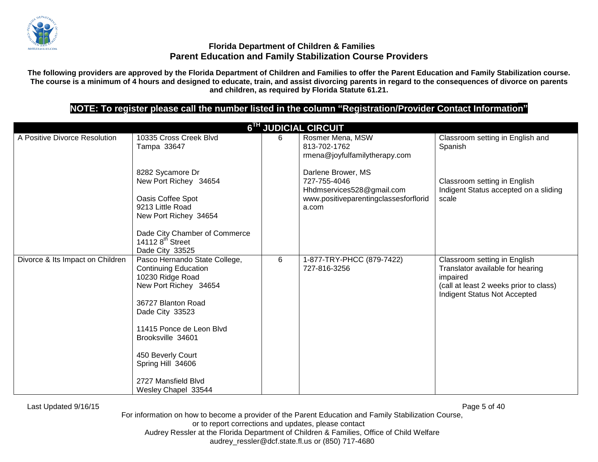

**The following providers are approved by the Florida Department of Children and Families to offer the Parent Education and Family Stabilization course. The course is a minimum of 4 hours and designed to educate, train, and assist divorcing parents in regard to the consequences of divorce on parents and children, as required by Florida Statute 61.21.**

# **NOTE: To register please call the number listed in the column "Registration/Provider Contact Information"**

|                                  | 6TH JUDICIAL CIRCUIT                                                                                                                                                                                                                                                                        |   |                                                                                                                   |                                                                                                                                                        |  |  |  |
|----------------------------------|---------------------------------------------------------------------------------------------------------------------------------------------------------------------------------------------------------------------------------------------------------------------------------------------|---|-------------------------------------------------------------------------------------------------------------------|--------------------------------------------------------------------------------------------------------------------------------------------------------|--|--|--|
| A Positive Divorce Resolution    | 10335 Cross Creek Blvd<br>Tampa 33647                                                                                                                                                                                                                                                       | 6 | Rosmer Mena, MSW<br>813-702-1762<br>rmena@joyfulfamilytherapy.com                                                 | Classroom setting in English and<br>Spanish                                                                                                            |  |  |  |
|                                  | 8282 Sycamore Dr<br>New Port Richey 34654<br>Oasis Coffee Spot<br>9213 Little Road<br>New Port Richey 34654<br>Dade City Chamber of Commerce<br>14112 $8th$ Street<br>Dade City 33525                                                                                                       |   | Darlene Brower, MS<br>727-755-4046<br>Hhdmservices528@gmail.com<br>www.positiveparentingclassesforflorid<br>a.com | Classroom setting in English<br>Indigent Status accepted on a sliding<br>scale                                                                         |  |  |  |
| Divorce & Its Impact on Children | Pasco Hernando State College,<br><b>Continuing Education</b><br>10230 Ridge Road<br>New Port Richey 34654<br>36727 Blanton Road<br>Dade City 33523<br>11415 Ponce de Leon Blvd<br>Brooksville 34601<br>450 Beverly Court<br>Spring Hill 34606<br>2727 Mansfield Blvd<br>Wesley Chapel 33544 | 6 | 1-877-TRY-PHCC (879-7422)<br>727-816-3256                                                                         | Classroom setting in English<br>Translator available for hearing<br>impaired<br>(call at least 2 weeks prior to class)<br>Indigent Status Not Accepted |  |  |  |

Last Updated 9/16/15 Page 5 of 40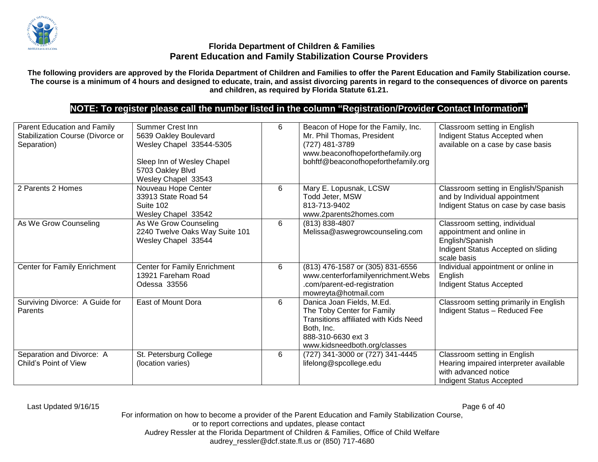

**The following providers are approved by the Florida Department of Children and Families to offer the Parent Education and Family Stabilization course. The course is a minimum of 4 hours and designed to educate, train, and assist divorcing parents in regard to the consequences of divorce on parents and children, as required by Florida Statute 61.21.**

# **NOTE: To register please call the number listed in the column "Registration/Provider Contact Information"**

| Parent Education and Family<br>Stabilization Course (Divorce or<br>Separation) | <b>Summer Crest Inn</b><br>5639 Oakley Boulevard<br>Wesley Chapel 33544-5305<br>Sleep Inn of Wesley Chapel<br>5703 Oakley Blvd<br>Wesley Chapel 33543 | 6 | Beacon of Hope for the Family, Inc.<br>Mr. Phil Thomas, President<br>(727) 481-3789<br>www.beaconofhopeforthefamily.org<br>bohftf@beaconofhopeforthefamily.org              | Classroom setting in English<br>Indigent Status Accepted when<br>available on a case by case basis                                  |
|--------------------------------------------------------------------------------|-------------------------------------------------------------------------------------------------------------------------------------------------------|---|-----------------------------------------------------------------------------------------------------------------------------------------------------------------------------|-------------------------------------------------------------------------------------------------------------------------------------|
| 2 Parents 2 Homes                                                              | Nouveau Hope Center<br>33913 State Road 54<br>Suite 102<br>Wesley Chapel 33542                                                                        | 6 | Mary E. Lopusnak, LCSW<br>Todd Jeter, MSW<br>813-713-9402<br>www.2parents2homes.com                                                                                         | Classroom setting in English/Spanish<br>and by Individual appointment<br>Indigent Status on case by case basis                      |
| As We Grow Counseling                                                          | As We Grow Counseling<br>2240 Twelve Oaks Way Suite 101<br>Wesley Chapel 33544                                                                        | 6 | (813) 838-4807<br>Melissa@aswegrowcounseling.com                                                                                                                            | Classroom setting, individual<br>appointment and online in<br>English/Spanish<br>Indigent Status Accepted on sliding<br>scale basis |
| Center for Family Enrichment                                                   | <b>Center for Family Enrichment</b><br>13921 Fareham Road<br>Odessa 33556                                                                             | 6 | (813) 476-1587 or (305) 831-6556<br>www.centerforfamilyenrichment.Webs<br>.com/parent-ed-registration<br>mowreyta@hotmail.com                                               | Individual appointment or online in<br>English<br>Indigent Status Accepted                                                          |
| Surviving Divorce: A Guide for<br>Parents                                      | East of Mount Dora                                                                                                                                    | 6 | Danica Joan Fields, M.Ed.<br>The Toby Center for Family<br><b>Transitions affiliated with Kids Need</b><br>Both, Inc.<br>888-310-6630 ext 3<br>www.kidsneedboth.org/classes | Classroom setting primarily in English<br>Indigent Status - Reduced Fee                                                             |
| Separation and Divorce: A<br>Child's Point of View                             | St. Petersburg College<br>(location varies)                                                                                                           | 6 | (727) 341-3000 or (727) 341-4445<br>lifelong@spcollege.edu                                                                                                                  | Classroom setting in English<br>Hearing impaired interpreter available<br>with advanced notice<br><b>Indigent Status Accepted</b>   |

Last Updated 9/16/15 Page 6 of 40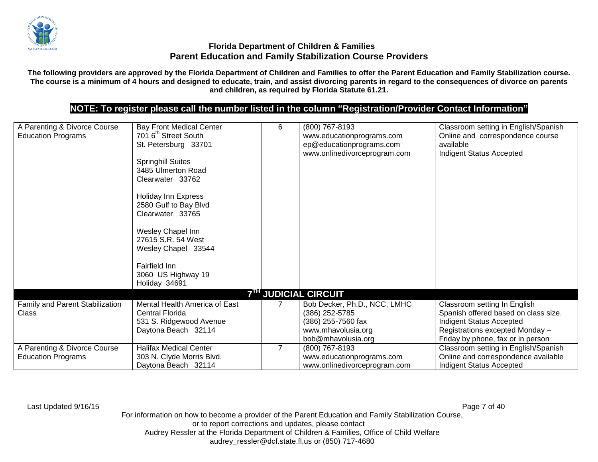

**The following providers are approved by the Florida Department of Children and Families to offer the Parent Education and Family Stabilization course. The course is a minimum of 4 hours and designed to educate, train, and assist divorcing parents in regard to the consequences of divorce on parents and children, as required by Florida Statute 61.21.**

# **NOTE: To register please call the number listed in the column "Registration/Provider Contact Information"**

| A Parenting & Divorce Course<br><b>Education Programs</b> | <b>Bay Front Medical Center</b><br>701 6 <sup>th</sup> Street South<br>St. Petersburg 33701<br><b>Springhill Suites</b><br>3485 Ulmerton Road<br>Clearwater 33762<br>Holiday Inn Express<br>2580 Gulf to Bay Blvd<br>Clearwater 33765<br>Wesley Chapel Inn<br>27615 S.R. 54 West | 6              | (800) 767-8193<br>www.educationprograms.com<br>ep@educationprograms.com<br>www.onlinedivorceprogram.com          | Classroom setting in English/Spanish<br>Online and correspondence course<br>available<br>Indigent Status Accepted                                                        |
|-----------------------------------------------------------|----------------------------------------------------------------------------------------------------------------------------------------------------------------------------------------------------------------------------------------------------------------------------------|----------------|------------------------------------------------------------------------------------------------------------------|--------------------------------------------------------------------------------------------------------------------------------------------------------------------------|
|                                                           | Wesley Chapel 33544<br>Fairfield Inn<br>3060 US Highway 19<br>Holiday 34691                                                                                                                                                                                                      |                |                                                                                                                  |                                                                                                                                                                          |
|                                                           |                                                                                                                                                                                                                                                                                  |                | <b>7TH JUDICIAL CIRCUIT</b>                                                                                      |                                                                                                                                                                          |
| Family and Parent Stabilization<br>Class                  | Mental Health America of East<br><b>Central Florida</b><br>531 S. Ridgewood Avenue<br>Daytona Beach 32114                                                                                                                                                                        |                | Bob Decker, Ph.D., NCC, LMHC<br>(386) 252-5785<br>(386) 255-7560 fax<br>www.mhavolusia.org<br>bob@mhavolusia.org | Classroom setting In English<br>Spanish offered based on class size.<br>Indigent Status Accepted<br>Registrations excepted Monday -<br>Friday by phone, fax or in person |
| A Parenting & Divorce Course<br><b>Education Programs</b> | <b>Halifax Medical Center</b><br>303 N. Clyde Morris Blvd.<br>Daytona Beach 32114                                                                                                                                                                                                | $\overline{7}$ | (800) 767-8193<br>www.educationprograms.com<br>www.onlinedivorceprogram.com                                      | Classroom setting in English/Spanish<br>Online and correspondence available<br><b>Indigent Status Accepted</b>                                                           |

Last Updated 9/16/15 Page 7 of 40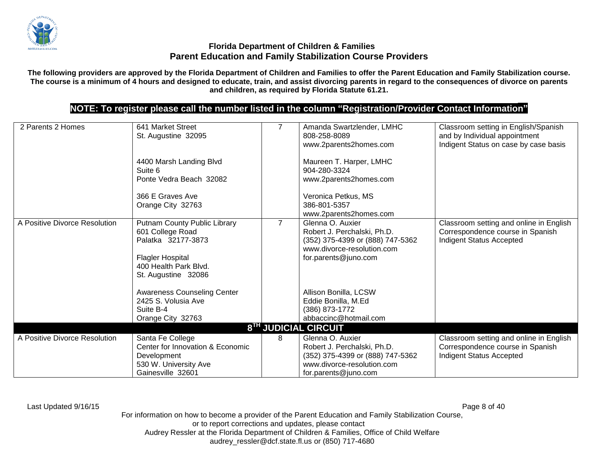

**The following providers are approved by the Florida Department of Children and Families to offer the Parent Education and Family Stabilization course. The course is a minimum of 4 hours and designed to educate, train, and assist divorcing parents in regard to the consequences of divorce on parents and children, as required by Florida Statute 61.21.**

# **NOTE: To register please call the number listed in the column "Registration/Provider Contact Information"**

| 2 Parents 2 Homes             | 641 Market Street<br>St. Augustine 32095<br>4400 Marsh Landing Blvd<br>Suite 6<br>Ponte Vedra Beach 32082<br>366 E Graves Ave<br>Orange City 32763 |                | Amanda Swartzlender, LMHC<br>808-258-8089<br>www.2parents2homes.com<br>Maureen T. Harper, LMHC<br>904-280-3324<br>www.2parents2homes.com<br>Veronica Petkus, MS<br>386-801-5357<br>www.2parents2homes.com | Classroom setting in English/Spanish<br>and by Individual appointment<br>Indigent Status on case by case basis |
|-------------------------------|----------------------------------------------------------------------------------------------------------------------------------------------------|----------------|-----------------------------------------------------------------------------------------------------------------------------------------------------------------------------------------------------------|----------------------------------------------------------------------------------------------------------------|
| A Positive Divorce Resolution | Putnam County Public Library<br>601 College Road<br>Palatka 32177-3873<br>Flagler Hospital<br>400 Health Park Blvd.<br>St. Augustine 32086         | $\overline{7}$ | Glenna O. Auxier<br>Robert J. Perchalski, Ph.D.<br>(352) 375-4399 or (888) 747-5362<br>www.divorce-resolution.com<br>for.parents@juno.com                                                                 | Classroom setting and online in English<br>Correspondence course in Spanish<br>Indigent Status Accepted        |
|                               | <b>Awareness Counseling Center</b><br>2425 S. Volusia Ave<br>Suite B-4<br>Orange City 32763                                                        |                | Allison Bonilla, LCSW<br>Eddie Bonilla, M.Ed<br>(386) 873-1772<br>abbaccinc@hotmail.com                                                                                                                   |                                                                                                                |
|                               |                                                                                                                                                    |                | 8 <sup>TH</sup> JUDICIAL CIRCUIT                                                                                                                                                                          |                                                                                                                |
| A Positive Divorce Resolution | Santa Fe College<br>Center for Innovation & Economic<br>Development<br>530 W. University Ave<br>Gainesville 32601                                  | 8              | Glenna O. Auxier<br>Robert J. Perchalski, Ph.D.<br>(352) 375-4399 or (888) 747-5362<br>www.divorce-resolution.com<br>for.parents@juno.com                                                                 | Classroom setting and online in English<br>Correspondence course in Spanish<br>Indigent Status Accepted        |

Last Updated 9/16/15 Page 8 of 40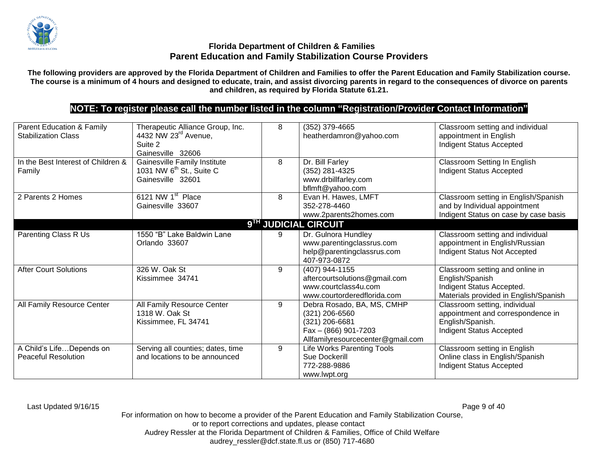

**The following providers are approved by the Florida Department of Children and Families to offer the Parent Education and Family Stabilization course. The course is a minimum of 4 hours and designed to educate, train, and assist divorcing parents in regard to the consequences of divorce on parents and children, as required by Florida Statute 61.21.**

# **NOTE: To register please call the number listed in the column "Registration/Provider Contact Information"**

| Parent Education & Family<br><b>Stabilization Class</b> | Therapeutic Alliance Group, Inc.<br>4432 NW 23rd Avenue,<br>Suite 2<br>Gainesville 32606  | 8 | (352) 379-4665<br>heatherdamron@yahoo.com                                                                                   | Classroom setting and individual<br>appointment in English<br>Indigent Status Accepted                                   |
|---------------------------------------------------------|-------------------------------------------------------------------------------------------|---|-----------------------------------------------------------------------------------------------------------------------------|--------------------------------------------------------------------------------------------------------------------------|
| In the Best Interest of Children &<br>Family            | Gainesville Family Institute<br>1031 NW 6 <sup>th</sup> St., Suite C<br>Gainesville 32601 | 8 | Dr. Bill Farley<br>(352) 281-4325<br>www.drbillfarley.com<br>bflmft@yahoo.com                                               | Classroom Setting In English<br>Indigent Status Accepted                                                                 |
| 2 Parents 2 Homes                                       | 6121 NW 1 <sup>st</sup> Place<br>Gainesville 33607                                        | 8 | Evan H. Hawes, LMFT<br>352-278-4460<br>www.2parents2homes.com                                                               | Classroom setting in English/Spanish<br>and by Individual appointment<br>Indigent Status on case by case basis           |
|                                                         |                                                                                           |   | 9TH JUDICIAL CIRCUIT                                                                                                        |                                                                                                                          |
| <b>Parenting Class R Us</b>                             | 1550 "B" Lake Baldwin Lane<br>Orlando 33607                                               | 9 | Dr. Gulnora Hundley<br>www.parentingclassrus.com<br>help@parentingclassrus.com<br>407-973-0872                              | Classroom setting and individual<br>appointment in English/Russian<br>Indigent Status Not Accepted                       |
| <b>After Court Solutions</b>                            | 326 W. Oak St<br>Kissimmee 34741                                                          | 9 | (407) 944-1155<br>aftercourtsolutions@gmail.com<br>www.courtclass4u.com<br>www.courtorderedflorida.com                      | Classroom setting and online in<br>English/Spanish<br>Indigent Status Accepted.<br>Materials provided in English/Spanish |
| All Family Resource Center                              | All Family Resource Center<br>1318 W. Oak St<br>Kissimmee, FL 34741                       | 9 | Debra Rosado, BA, MS, CMHP<br>(321) 206-6560<br>(321) 206-6681<br>Fax - (866) 901-7203<br>Allfamilyresourcecenter@gmail.com | Classroom setting, individual<br>appointment and correspondence in<br>English/Spanish.<br>Indigent Status Accepted       |
| A Child's LifeDepends on<br><b>Peaceful Resolution</b>  | Serving all counties; dates, time<br>and locations to be announced                        | 9 | Life Works Parenting Tools<br>Sue Dockerill<br>772-288-9886<br>www.lwpt.org                                                 | Classroom setting in English<br>Online class in English/Spanish<br>Indigent Status Accepted                              |

Last Updated 9/16/15 Page 9 of 40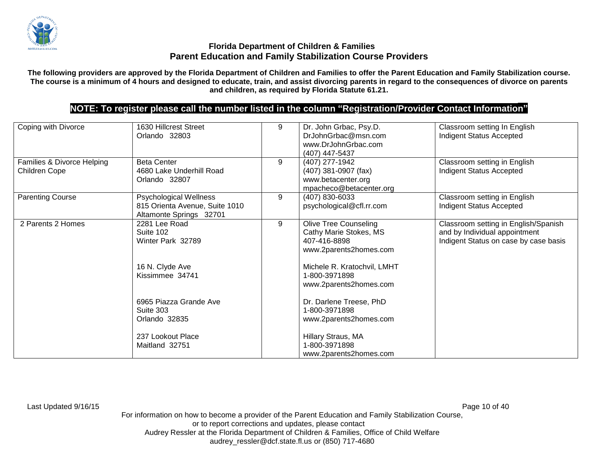

**The following providers are approved by the Florida Department of Children and Families to offer the Parent Education and Family Stabilization course. The course is a minimum of 4 hours and designed to educate, train, and assist divorcing parents in regard to the consequences of divorce on parents and children, as required by Florida Statute 61.21.**

# **NOTE: To register please call the number listed in the column "Registration/Provider Contact Information"**

| Coping with Divorce                         | 1630 Hillcrest Street<br>Orlando 32803                                              | 9 | Dr. John Grbac, Psy.D.<br>DrJohnGrbac@msn.com<br>www.DrJohnGrbac.com<br>(407) 447-5437           | Classroom setting In English<br><b>Indigent Status Accepted</b>                                                |
|---------------------------------------------|-------------------------------------------------------------------------------------|---|--------------------------------------------------------------------------------------------------|----------------------------------------------------------------------------------------------------------------|
| Families & Divorce Helping<br>Children Cope | <b>Beta Center</b><br>4680 Lake Underhill Road<br>Orlando 32807                     | 9 | (407) 277-1942<br>$(407)$ 381-0907 (fax)<br>www.betacenter.org<br>mpacheco@betacenter.org        | Classroom setting in English<br><b>Indigent Status Accepted</b>                                                |
| <b>Parenting Course</b>                     | Psychological Wellness<br>815 Orienta Avenue, Suite 1010<br>Altamonte Springs 32701 | 9 | (407) 830-6033<br>psychological@cfl.rr.com                                                       | Classroom setting in English<br>Indigent Status Accepted                                                       |
| 2 Parents 2 Homes                           | 2281 Lee Road<br>Suite 102<br>Winter Park 32789                                     | 9 | <b>Olive Tree Counseling</b><br>Cathy Marie Stokes, MS<br>407-416-8898<br>www.2parents2homes.com | Classroom setting in English/Spanish<br>and by Individual appointment<br>Indigent Status on case by case basis |
|                                             | 16 N. Clyde Ave<br>Kissimmee 34741                                                  |   | Michele R. Kratochvil, LMHT<br>1-800-3971898<br>www.2parents2homes.com                           |                                                                                                                |
|                                             | 6965 Piazza Grande Ave<br>Suite 303<br>Orlando 32835                                |   | Dr. Darlene Treese, PhD<br>1-800-3971898<br>www.2parents2homes.com                               |                                                                                                                |
|                                             | 237 Lookout Place<br>Maitland 32751                                                 |   | Hillary Straus, MA<br>1-800-3971898<br>www.2parents2homes.com                                    |                                                                                                                |

Last Updated 9/16/15 Page 10 of 40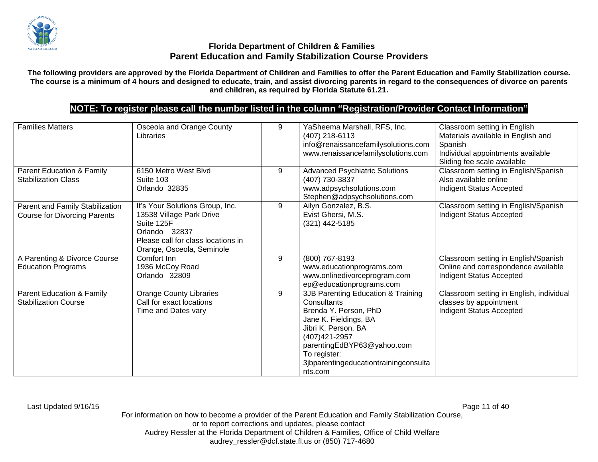

**The following providers are approved by the Florida Department of Children and Families to offer the Parent Education and Family Stabilization course. The course is a minimum of 4 hours and designed to educate, train, and assist divorcing parents in regard to the consequences of divorce on parents and children, as required by Florida Statute 61.21.**

# **NOTE: To register please call the number listed in the column "Registration/Provider Contact Information"**

| <b>Families Matters</b><br>Parent Education & Family<br><b>Stabilization Class</b> | Osceola and Orange County<br>Libraries<br>6150 Metro West Blvd<br>Suite 103                                                                                   | 9<br>9 | YaSheema Marshall, RFS, Inc.<br>(407) 218-6113<br>info@renaissancefamilysolutions.com<br>www.renaissancefamilysolutions.com<br><b>Advanced Psychiatric Solutions</b><br>(407) 730-3837                                                         | Classroom setting in English<br>Materials available in English and<br>Spanish<br>Individual appointments available<br>Sliding fee scale available<br>Classroom setting in English/Spanish<br>Also available online |
|------------------------------------------------------------------------------------|---------------------------------------------------------------------------------------------------------------------------------------------------------------|--------|------------------------------------------------------------------------------------------------------------------------------------------------------------------------------------------------------------------------------------------------|--------------------------------------------------------------------------------------------------------------------------------------------------------------------------------------------------------------------|
|                                                                                    | Orlando 32835                                                                                                                                                 |        | www.adpsychsolutions.com<br>Stephen@adpsychsolutions.com                                                                                                                                                                                       | Indigent Status Accepted                                                                                                                                                                                           |
| Parent and Family Stabilization<br><b>Course for Divorcing Parents</b>             | It's Your Solutions Group, Inc.<br>13538 Village Park Drive<br>Suite 125F<br>Orlando 32837<br>Please call for class locations in<br>Orange, Osceola, Seminole | 9      | Ailyn Gonzalez, B.S.<br>Evist Ghersi, M.S.<br>(321) 442-5185                                                                                                                                                                                   | Classroom setting in English/Spanish<br>Indigent Status Accepted                                                                                                                                                   |
| A Parenting & Divorce Course<br><b>Education Programs</b>                          | Comfort Inn<br>1936 McCoy Road<br>Orlando 32809                                                                                                               | 9      | (800) 767-8193<br>www.educationprograms.com<br>www.onlinedivorceprogram.com<br>ep@educationprograms.com                                                                                                                                        | Classroom setting in English/Spanish<br>Online and correspondence available<br>Indigent Status Accepted                                                                                                            |
| <b>Parent Education &amp; Family</b><br><b>Stabilization Course</b>                | <b>Orange County Libraries</b><br>Call for exact locations<br>Time and Dates vary                                                                             | 9      | 3JB Parenting Education & Training<br>Consultants<br>Brenda Y. Person, PhD<br>Jane K. Fieldings, BA<br>Jibri K. Person, BA<br>(407) 421-2957<br>parentingEdBYP63@yahoo.com<br>To register:<br>3jbparentingeducationtrainingconsulta<br>nts.com | Classroom setting in English, individual<br>classes by appointment<br>Indigent Status Accepted                                                                                                                     |

Last Updated 9/16/15 Page 11 of 40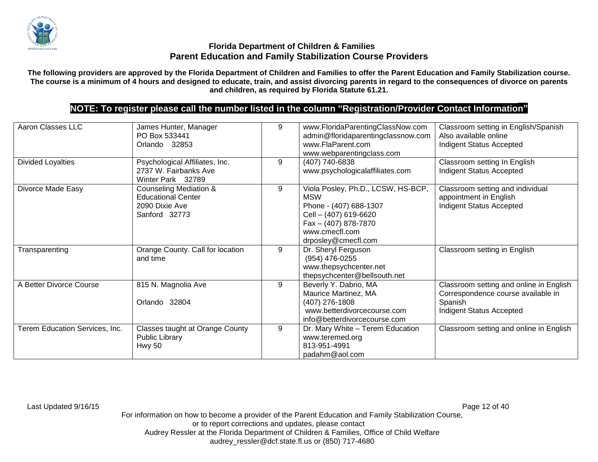

**The following providers are approved by the Florida Department of Children and Families to offer the Parent Education and Family Stabilization course. The course is a minimum of 4 hours and designed to educate, train, and assist divorcing parents in regard to the consequences of divorce on parents and children, as required by Florida Statute 61.21.**

# **NOTE: To register please call the number listed in the column "Registration/Provider Contact Information"**

| Aaron Classes LLC              | James Hunter, Manager<br>PO Box 533441<br>Orlando 32853                                           | 9 | www.FloridaParentingClassNow.com<br>admin@floridaparentingclassnow.com<br>www.FlaParent.com<br>www.webparentingclass.com                                             | Classroom setting in English/Spanish<br>Also available online<br>Indigent Status Accepted                            |
|--------------------------------|---------------------------------------------------------------------------------------------------|---|----------------------------------------------------------------------------------------------------------------------------------------------------------------------|----------------------------------------------------------------------------------------------------------------------|
| <b>Divided Loyalties</b>       | Psychological Affiliates, Inc.<br>2737 W. Fairbanks Ave<br>Winter Park 32789                      | 9 | (407) 740-6838<br>www.psychologicalaffiliates.com                                                                                                                    | Classroom setting In English<br>Indigent Status Accepted                                                             |
| Divorce Made Easy              | <b>Counseling Mediation &amp;</b><br><b>Educational Center</b><br>2090 Dixie Ave<br>Sanford 32773 | 9 | Viola Posley, Ph.D., LCSW, HS-BCP,<br><b>MSW</b><br>Phone - (407) 688-1307<br>Cell - (407) 619-6620<br>Fax - (407) 878-7870<br>www.cmecfl.com<br>drposley@cmecfl.com | Classroom setting and individual<br>appointment in English<br>Indigent Status Accepted                               |
| Transparenting                 | Orange County. Call for location<br>and time                                                      | 9 | Dr. Sheryl Ferguson<br>(954) 476-0255<br>www.thepsychcenter.net<br>thepsychcenter@bellsouth.net                                                                      | Classroom setting in English                                                                                         |
| A Better Divorce Course        | 815 N. Magnolia Ave<br>Orlando 32804                                                              | 9 | Beverly Y. Dabrio, MA<br>Maurice Martinez, MA<br>(407) 276-1808<br>www.betterdivorcecourse.com<br>info@betterdivorcecourse.com                                       | Classroom setting and online in English<br>Correspondence course available in<br>Spanish<br>Indigent Status Accepted |
| Terem Education Services, Inc. | Classes taught at Orange County<br><b>Public Library</b><br><b>Hwy 50</b>                         | 9 | Dr. Mary White - Terem Education<br>www.teremed.org<br>813-951-4991<br>padahm@aol.com                                                                                | Classroom setting and online in English                                                                              |

Last Updated 9/16/15 Page 12 of 40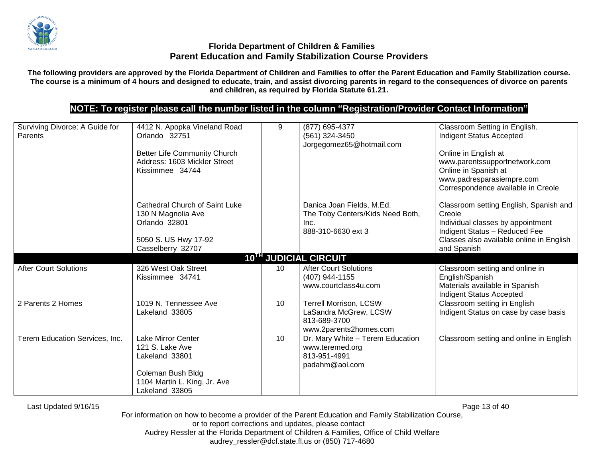

**The following providers are approved by the Florida Department of Children and Families to offer the Parent Education and Family Stabilization course. The course is a minimum of 4 hours and designed to educate, train, and assist divorcing parents in regard to the consequences of divorce on parents and children, as required by Florida Statute 61.21.**

# **NOTE: To register please call the number listed in the column "Registration/Provider Contact Information"**

| Surviving Divorce: A Guide for<br>Parents | 4412 N. Apopka Vineland Road<br>Orlando 32751<br><b>Better Life Community Church</b><br>Address: 1603 Mickler Street<br>Kissimmee 34744 | 9               | (877) 695-4377<br>(561) 324-3450<br>Jorgegomez65@hotmail.com                                     | Classroom Setting in English.<br>Indigent Status Accepted<br>Online in English at<br>www.parentssupportnetwork.com<br>Online in Spanish at<br>www.padresparasiempre.com<br>Correspondence available in Creole |
|-------------------------------------------|-----------------------------------------------------------------------------------------------------------------------------------------|-----------------|--------------------------------------------------------------------------------------------------|---------------------------------------------------------------------------------------------------------------------------------------------------------------------------------------------------------------|
|                                           | Cathedral Church of Saint Luke<br>130 N Magnolia Ave<br>Orlando 32801<br>5050 S. US Hwy 17-92<br>Casselberry 32707                      |                 | Danica Joan Fields, M.Ed.<br>The Toby Centers/Kids Need Both,<br>Inc.<br>888-310-6630 ext 3      | Classroom setting English, Spanish and<br>Creole<br>Individual classes by appointment<br>Indigent Status - Reduced Fee<br>Classes also available online in English<br>and Spanish                             |
|                                           |                                                                                                                                         |                 | 10TH JUDICIAL CIRCUIT                                                                            |                                                                                                                                                                                                               |
| <b>After Court Solutions</b>              | 326 West Oak Street<br>Kissimmee 34741                                                                                                  | 10              | <b>After Court Solutions</b><br>(407) 944-1155<br>www.courtclass4u.com                           | Classroom setting and online in<br>English/Spanish<br>Materials available in Spanish<br>Indigent Status Accepted                                                                                              |
| 2 Parents 2 Homes                         | 1019 N. Tennessee Ave<br>Lakeland 33805                                                                                                 | 10 <sup>°</sup> | <b>Terrell Morrison, LCSW</b><br>LaSandra McGrew, LCSW<br>813-689-3700<br>www.2parents2homes.com | Classroom setting in English<br>Indigent Status on case by case basis                                                                                                                                         |
| Terem Education Services, Inc.            | Lake Mirror Center<br>121 S. Lake Ave<br>Lakeland 33801<br>Coleman Bush Bldg<br>1104 Martin L. King, Jr. Ave<br>Lakeland 33805          | 10 <sup>°</sup> | Dr. Mary White - Terem Education<br>www.teremed.org<br>813-951-4991<br>padahm@aol.com            | Classroom setting and online in English                                                                                                                                                                       |

Last Updated 9/16/15 Page 13 of 40

For information on how to become a provider of the Parent Education and Family Stabilization Course, or to report corrections and updates, please contact Audrey Ressler at the Florida Department of Children & Families, Office of Child Welfare

audrey\_ressler@dcf.state.fl.us or (850) 717-4680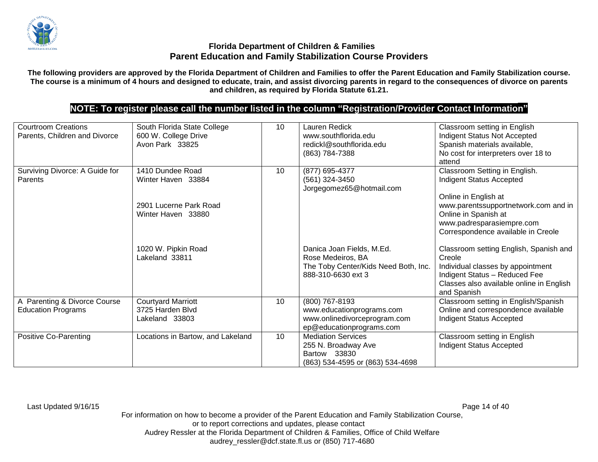

**The following providers are approved by the Florida Department of Children and Families to offer the Parent Education and Family Stabilization course. The course is a minimum of 4 hours and designed to educate, train, and assist divorcing parents in regard to the consequences of divorce on parents and children, as required by Florida Statute 61.21.**

# **NOTE: To register please call the number listed in the column "Registration/Provider Contact Information"**

| <b>Courtroom Creations</b><br>Parents, Children and Divorce | South Florida State College<br>600 W. College Drive<br>Avon Park 33825                 | 10              | Lauren Redick<br>www.southflorida.edu<br>redickl@southflorida.edu<br>(863) 784-7388                          | Classroom setting in English<br>Indigent Status Not Accepted<br>Spanish materials available,<br>No cost for interpreters over 18 to<br>attend                                                                               |
|-------------------------------------------------------------|----------------------------------------------------------------------------------------|-----------------|--------------------------------------------------------------------------------------------------------------|-----------------------------------------------------------------------------------------------------------------------------------------------------------------------------------------------------------------------------|
| Surviving Divorce: A Guide for<br>Parents                   | 1410 Dundee Road<br>Winter Haven 33884<br>2901 Lucerne Park Road<br>Winter Haven 33880 | 10              | (877) 695-4377<br>(561) 324-3450<br>Jorgegomez65@hotmail.com                                                 | Classroom Setting in English.<br><b>Indigent Status Accepted</b><br>Online in English at<br>www.parentssupportnetwork.com and in<br>Online in Spanish at<br>www.padresparasiempre.com<br>Correspondence available in Creole |
|                                                             | 1020 W. Pipkin Road<br>Lakeland 33811                                                  |                 | Danica Joan Fields, M.Ed.<br>Rose Medeiros, BA<br>The Toby Center/Kids Need Both, Inc.<br>888-310-6630 ext 3 | Classroom setting English, Spanish and<br>Creole<br>Individual classes by appointment<br>Indigent Status - Reduced Fee<br>Classes also available online in English<br>and Spanish                                           |
| A Parenting & Divorce Course<br><b>Education Programs</b>   | <b>Courtyard Marriott</b><br>3725 Harden Blvd<br>Lakeland 33803                        | 10              | (800) 767-8193<br>www.educationprograms.com<br>www.onlinedivorceprogram.com<br>ep@educationprograms.com      | Classroom setting in English/Spanish<br>Online and correspondence available<br>Indigent Status Accepted                                                                                                                     |
| Positive Co-Parenting                                       | Locations in Bartow, and Lakeland                                                      | 10 <sup>1</sup> | <b>Mediation Services</b><br>255 N. Broadway Ave<br>Bartow 33830<br>(863) 534-4595 or (863) 534-4698         | Classroom setting in English<br>Indigent Status Accepted                                                                                                                                                                    |

Last Updated 9/16/15 Page 14 of 40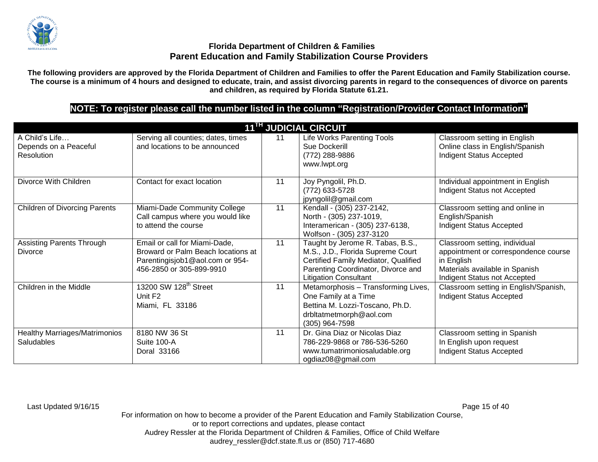

**The following providers are approved by the Florida Department of Children and Families to offer the Parent Education and Family Stabilization course. The course is a minimum of 4 hours and designed to educate, train, and assist divorcing parents in regard to the consequences of divorce on parents and children, as required by Florida Statute 61.21.**

# **NOTE: To register please call the number listed in the column "Registration/Provider Contact Information"**

| 11 <sup>TH</sup> JUDICIAL CIRCUIT                     |                                                                                                                                    |    |                                                                                                                                                                                     |                                                                                                                                                       |  |
|-------------------------------------------------------|------------------------------------------------------------------------------------------------------------------------------------|----|-------------------------------------------------------------------------------------------------------------------------------------------------------------------------------------|-------------------------------------------------------------------------------------------------------------------------------------------------------|--|
| A Child's Life<br>Depends on a Peaceful<br>Resolution | Serving all counties; dates, times<br>and locations to be announced                                                                | 11 | Life Works Parenting Tools<br>Sue Dockerill<br>(772) 288-9886<br>www.lwpt.org                                                                                                       | Classroom setting in English<br>Online class in English/Spanish<br><b>Indigent Status Accepted</b>                                                    |  |
| Divorce With Children                                 | Contact for exact location                                                                                                         | 11 | Joy Pyngolil, Ph.D.<br>(772) 633-5728<br>jpyngolil@gmail.com                                                                                                                        | Individual appointment in English<br>Indigent Status not Accepted                                                                                     |  |
| <b>Children of Divorcing Parents</b>                  | Miami-Dade Community College<br>Call campus where you would like<br>to attend the course                                           | 11 | Kendall - (305) 237-2142,<br>North - (305) 237-1019,<br>Interamerican - (305) 237-6138,<br>Wolfson - (305) 237-3120                                                                 | Classroom setting and online in<br>English/Spanish<br><b>Indigent Status Accepted</b>                                                                 |  |
| <b>Assisting Parents Through</b><br><b>Divorce</b>    | Email or call for Miami-Dade,<br>Broward or Palm Beach locations at<br>Parentingisjob1@aol.com or 954-<br>456-2850 or 305-899-9910 | 11 | Taught by Jerome R. Tabas, B.S.,<br>M.S., J.D., Florida Supreme Court<br>Certified Family Mediator, Qualified<br>Parenting Coordinator, Divorce and<br><b>Litigation Consultant</b> | Classroom setting, individual<br>appointment or correspondence course<br>in English<br>Materials available in Spanish<br>Indigent Status not Accepted |  |
| Children in the Middle                                | 13200 SW 128 <sup>th</sup> Street<br>Unit F <sub>2</sub><br>Miami, FL 33186                                                        | 11 | Metamorphosis - Transforming Lives,<br>One Family at a Time<br>Bettina M. Lozzi-Toscano, Ph.D.<br>drbltatmetmorph@aol.com<br>(305) 964-7598                                         | Classroom setting in English/Spanish,<br><b>Indigent Status Accepted</b>                                                                              |  |
| <b>Healthy Marriages/Matrimonios</b><br>Saludables    | 8180 NW 36 St<br>Suite 100-A<br>Doral 33166                                                                                        | 11 | Dr. Gina Diaz or Nicolas Diaz<br>786-229-9868 or 786-536-5260<br>www.tumatrimoniosaludable.org<br>ogdiaz08@gmail.com                                                                | Classroom setting in Spanish<br>In English upon request<br><b>Indigent Status Accepted</b>                                                            |  |

Last Updated 9/16/15 Page 15 of 40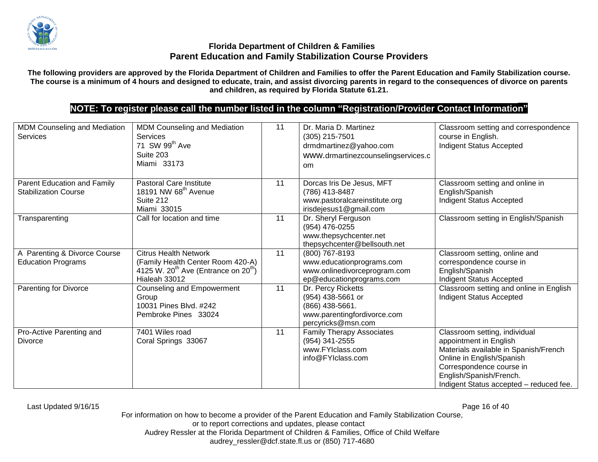

**The following providers are approved by the Florida Department of Children and Families to offer the Parent Education and Family Stabilization course. The course is a minimum of 4 hours and designed to educate, train, and assist divorcing parents in regard to the consequences of divorce on parents and children, as required by Florida Statute 61.21.**

# **NOTE: To register please call the number listed in the column "Registration/Provider Contact Information"**

| MDM Counseling and Mediation<br><b>Services</b>            | MDM Counseling and Mediation<br>Services<br>71 SW 99 <sup>th</sup> Ave<br>Suite 203<br>Miami 33173                                   | 11 | Dr. Maria D. Martinez<br>$(305)$ 215-7501<br>drmdmartinez@yahoo.com<br>www.drmartinezcounselingservices.c<br>om | Classroom setting and correspondence<br>course in English.<br>Indigent Status Accepted                                                                                                                                          |
|------------------------------------------------------------|--------------------------------------------------------------------------------------------------------------------------------------|----|-----------------------------------------------------------------------------------------------------------------|---------------------------------------------------------------------------------------------------------------------------------------------------------------------------------------------------------------------------------|
| Parent Education and Family<br><b>Stabilization Course</b> | <b>Pastoral Care Institute</b><br>18191 NW 68 <sup>th</sup> Avenue<br>Suite 212<br>Miami 33015                                       | 11 | Dorcas Iris De Jesus, MFT<br>(786) 413-8487<br>www.pastoralcareinstitute.org<br>irisdejesus1@gmail.com          | Classroom setting and online in<br>English/Spanish<br>Indigent Status Accepted                                                                                                                                                  |
| Transparenting                                             | Call for location and time                                                                                                           | 11 | Dr. Sheryl Ferguson<br>(954) 476-0255<br>www.thepsychcenter.net<br>thepsychcenter@bellsouth.net                 | Classroom setting in English/Spanish                                                                                                                                                                                            |
| A Parenting & Divorce Course<br><b>Education Programs</b>  | <b>Citrus Health Network</b><br>(Family Health Center Room 420-A)<br>4125 W. $20^{th}$ Ave (Entrance on $20^{th}$ )<br>Hialeah 33012 | 11 | (800) 767-8193<br>www.educationprograms.com<br>www.onlinedivorceprogram.com<br>ep@educationprograms.com         | Classroom setting, online and<br>correspondence course in<br>English/Spanish<br>Indigent Status Accepted                                                                                                                        |
| Parenting for Divorce                                      | Counseling and Empowerment<br>Group<br>10031 Pines Blvd. #242<br>Pembroke Pines 33024                                                | 11 | Dr. Percy Ricketts<br>(954) 438-5661 or<br>(866) 438-5661.<br>www.parentingfordivorce.com<br>percyricks@msn.com | Classroom setting and online in English<br>Indigent Status Accepted                                                                                                                                                             |
| Pro-Active Parenting and<br><b>Divorce</b>                 | 7401 Wiles road<br>Coral Springs 33067                                                                                               | 11 | <b>Family Therapy Associates</b><br>(954) 341-2555<br>www.FYIclass.com<br>info@FYIclass.com                     | Classroom setting, individual<br>appointment in English<br>Materials available in Spanish/French<br>Online in English/Spanish<br>Correspondence course in<br>English/Spanish/French.<br>Indigent Status accepted - reduced fee. |

Last Updated 9/16/15 Page 16 of 40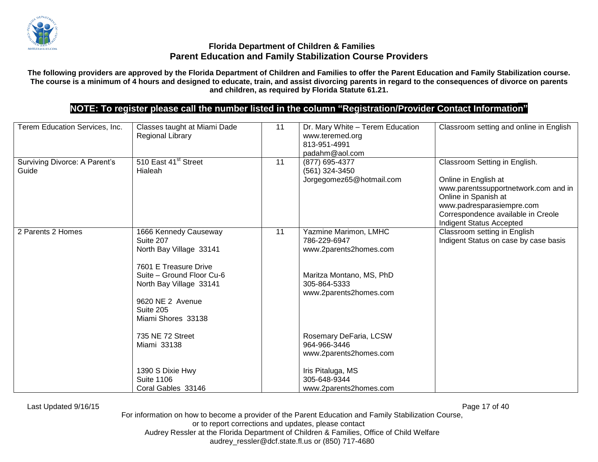

**The following providers are approved by the Florida Department of Children and Families to offer the Parent Education and Family Stabilization course. The course is a minimum of 4 hours and designed to educate, train, and assist divorcing parents in regard to the consequences of divorce on parents and children, as required by Florida Statute 61.21.**

# **NOTE: To register please call the number listed in the column "Registration/Provider Contact Information"**

| Terem Education Services, Inc.         | Classes taught at Miami Dade<br><b>Regional Library</b>                                                                                                                                               | 11 | Dr. Mary White - Terem Education<br>www.teremed.org<br>813-951-4991                                                                   | Classroom setting and online in English                                                                                                                                                                              |
|----------------------------------------|-------------------------------------------------------------------------------------------------------------------------------------------------------------------------------------------------------|----|---------------------------------------------------------------------------------------------------------------------------------------|----------------------------------------------------------------------------------------------------------------------------------------------------------------------------------------------------------------------|
| Surviving Divorce: A Parent's<br>Guide | 510 East 41 <sup>st</sup> Street<br>Hialeah                                                                                                                                                           | 11 | padahm@aol.com<br>(877) 695-4377<br>(561) 324-3450<br>Jorgegomez65@hotmail.com                                                        | Classroom Setting in English.<br>Online in English at<br>www.parentssupportnetwork.com and in<br>Online in Spanish at<br>www.padresparasiempre.com<br>Correspondence available in Creole<br>Indigent Status Accepted |
| 2 Parents 2 Homes                      | 1666 Kennedy Causeway<br>Suite 207<br>North Bay Village 33141<br>7601 E Treasure Drive<br>Suite - Ground Floor Cu-6<br>North Bay Village 33141<br>9620 NE 2 Avenue<br>Suite 205<br>Miami Shores 33138 | 11 | Yazmine Marimon, LMHC<br>786-229-6947<br>www.2parents2homes.com<br>Maritza Montano, MS, PhD<br>305-864-5333<br>www.2parents2homes.com | Classroom setting in English<br>Indigent Status on case by case basis                                                                                                                                                |
|                                        | 735 NE 72 Street<br>Miami 33138<br>1390 S Dixie Hwy<br><b>Suite 1106</b>                                                                                                                              |    | Rosemary DeFaria, LCSW<br>964-966-3446<br>www.2parents2homes.com<br>Iris Pitaluga, MS<br>305-648-9344                                 |                                                                                                                                                                                                                      |
|                                        | Coral Gables 33146                                                                                                                                                                                    |    | www.2parents2homes.com                                                                                                                |                                                                                                                                                                                                                      |

Last Updated 9/16/15 Page 17 of 40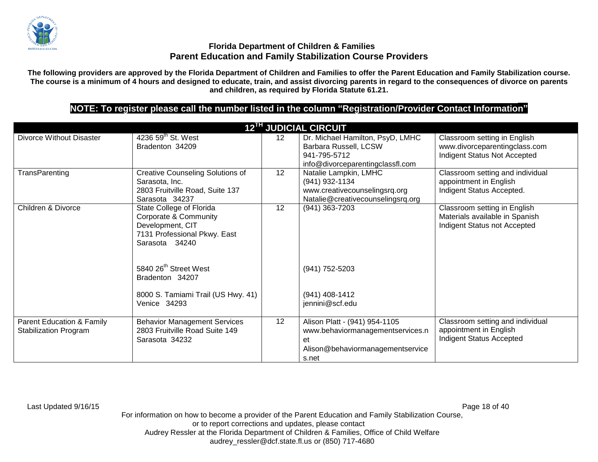

**The following providers are approved by the Florida Department of Children and Families to offer the Parent Education and Family Stabilization course. The course is a minimum of 4 hours and designed to educate, train, and assist divorcing parents in regard to the consequences of divorce on parents and children, as required by Florida Statute 61.21.**

# **NOTE: To register please call the number listed in the column "Registration/Provider Contact Information"**

|                                                           |                                                                                                                         |                 | <b>12<sup>TH</sup> JUDICIAL CIRCUIT</b>                                                                              |                                                                                                |
|-----------------------------------------------------------|-------------------------------------------------------------------------------------------------------------------------|-----------------|----------------------------------------------------------------------------------------------------------------------|------------------------------------------------------------------------------------------------|
| Divorce Without Disaster                                  | 4236 59 <sup>th</sup> St. West<br>Bradenton 34209                                                                       | 12 <sup>2</sup> | Dr. Michael Hamilton, PsyD, LMHC<br>Barbara Russell, LCSW<br>941-795-5712<br>info@divorceparentingclassfl.com        | Classroom setting in English<br>www.divorceparentingclass.com<br>Indigent Status Not Accepted  |
| TransParenting                                            | <b>Creative Counseling Solutions of</b><br>Sarasota, Inc.<br>2803 Fruitville Road, Suite 137<br>Sarasota 34237          | 12 <sup>2</sup> | Natalie Lampkin, LMHC<br>(941) 932-1134<br>www.creativecounselingsrq.org<br>Natalie@creativecounselingsrq.org        | Classroom setting and individual<br>appointment in English<br>Indigent Status Accepted.        |
| Children & Divorce                                        | State College of Florida<br>Corporate & Community<br>Development, CIT<br>7131 Professional Pkwy. East<br>Sarasota 34240 | 12              | (941) 363-7203                                                                                                       | Classroom setting in English<br>Materials available in Spanish<br>Indigent Status not Accepted |
|                                                           | 5840 26 <sup>th</sup> Street West<br>Bradenton 34207                                                                    |                 | (941) 752-5203                                                                                                       |                                                                                                |
|                                                           | 8000 S. Tamiami Trail (US Hwy. 41)<br>Venice 34293                                                                      |                 | (941) 408-1412<br>jennini@scf.edu                                                                                    |                                                                                                |
| Parent Education & Family<br><b>Stabilization Program</b> | <b>Behavior Management Services</b><br>2803 Fruitville Road Suite 149<br>Sarasota 34232                                 | 12              | Alison Platt - (941) 954-1105<br>www.behaviormanagementservices.n<br>et<br>Alison@behaviormanagementservice<br>s.net | Classroom setting and individual<br>appointment in English<br>Indigent Status Accepted         |

Last Updated 9/16/15 Page 18 of 40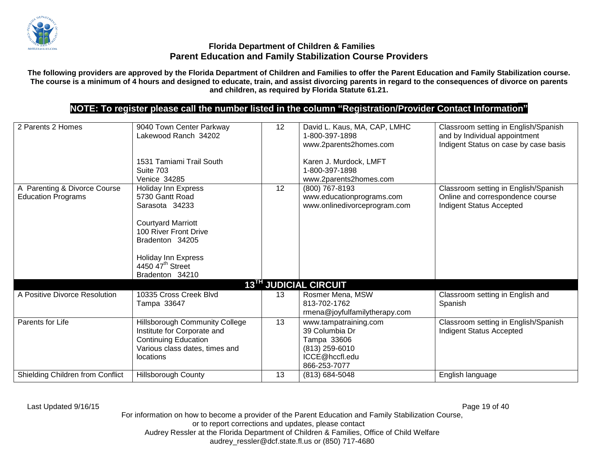

**The following providers are approved by the Florida Department of Children and Families to offer the Parent Education and Family Stabilization course. The course is a minimum of 4 hours and designed to educate, train, and assist divorcing parents in regard to the consequences of divorce on parents and children, as required by Florida Statute 61.21.**

## **NOTE: To register please call the number listed in the column "Registration/Provider Contact Information"**

| 2 Parents 2 Homes                                         | 9040 Town Center Parkway<br>Lakewood Ranch 34202<br>1531 Tamiami Trail South<br>Suite 703                                                                                                                                                        | 12 | David L. Kaus, MA, CAP, LMHC<br>1-800-397-1898<br>www.2parents2homes.com<br>Karen J. Murdock, LMFT<br>1-800-397-1898 | Classroom setting in English/Spanish<br>and by Individual appointment<br>Indigent Status on case by case basis |
|-----------------------------------------------------------|--------------------------------------------------------------------------------------------------------------------------------------------------------------------------------------------------------------------------------------------------|----|----------------------------------------------------------------------------------------------------------------------|----------------------------------------------------------------------------------------------------------------|
| A Parenting & Divorce Course<br><b>Education Programs</b> | <b>Venice 34285</b><br><b>Holiday Inn Express</b><br>5730 Gantt Road<br>Sarasota 34233<br><b>Courtyard Marriott</b><br>100 River Front Drive<br>Bradenton 34205<br><b>Holiday Inn Express</b><br>4450 47 <sup>th</sup> Street<br>Bradenton 34210 | 12 | www.2parents2homes.com<br>(800) 767-8193<br>www.educationprograms.com<br>www.onlinedivorceprogram.com                | Classroom setting in English/Spanish<br>Online and correspondence course<br><b>Indigent Status Accepted</b>    |
|                                                           |                                                                                                                                                                                                                                                  |    | 13TH JUDICIAL CIRCUIT                                                                                                |                                                                                                                |
| A Positive Divorce Resolution                             | 10335 Cross Creek Blvd<br>Tampa 33647                                                                                                                                                                                                            | 13 | Rosmer Mena, MSW<br>813-702-1762<br>rmena@joyfulfamilytherapy.com                                                    | Classroom setting in English and<br>Spanish                                                                    |
| Parents for Life                                          | <b>Hillsborough Community College</b><br>Institute for Corporate and<br><b>Continuing Education</b><br>Various class dates, times and<br>locations                                                                                               | 13 | www.tampatraining.com<br>39 Columbia Dr<br>Tampa 33606<br>(813) 259-6010<br>ICCE@hccfl.edu<br>866-253-7077           | Classroom setting in English/Spanish<br>Indigent Status Accepted                                               |
| Shielding Children from Conflict                          | <b>Hillsborough County</b>                                                                                                                                                                                                                       | 13 | (813) 684-5048                                                                                                       | English language                                                                                               |

Last Updated 9/16/15 Page 19 of 40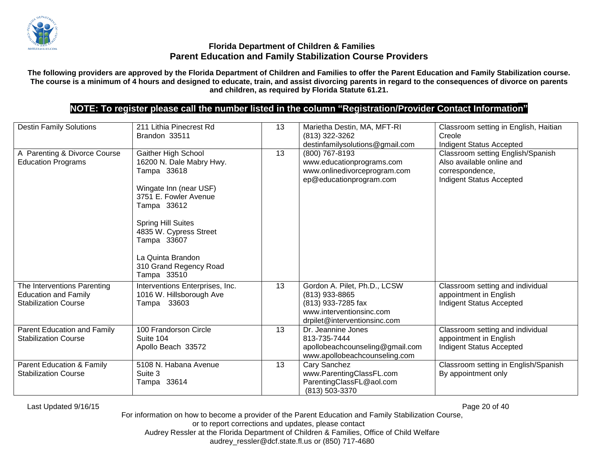

**The following providers are approved by the Florida Department of Children and Families to offer the Parent Education and Family Stabilization course. The course is a minimum of 4 hours and designed to educate, train, and assist divorcing parents in regard to the consequences of divorce on parents and children, as required by Florida Statute 61.21.**

## **NOTE: To register please call the number listed in the column "Registration/Provider Contact Information"**

| <b>Destin Family Solutions</b>                                                            | 211 Lithia Pinecrest Rd<br>Brandon 33511                                                                                                                                                                                                                             | 13 | Marietha Destin, MA, MFT-RI<br>(813) 322-3262<br>destinfamilysolutions@gmail.com                                                 | Classroom setting in English, Haitian<br>Creole<br>Indigent Status Accepted                                          |
|-------------------------------------------------------------------------------------------|----------------------------------------------------------------------------------------------------------------------------------------------------------------------------------------------------------------------------------------------------------------------|----|----------------------------------------------------------------------------------------------------------------------------------|----------------------------------------------------------------------------------------------------------------------|
| A Parenting & Divorce Course<br><b>Education Programs</b>                                 | Gaither High School<br>16200 N. Dale Mabry Hwy.<br>Tampa 33618<br>Wingate Inn (near USF)<br>3751 E. Fowler Avenue<br>Tampa 33612<br><b>Spring Hill Suites</b><br>4835 W. Cypress Street<br>Tampa 33607<br>La Quinta Brandon<br>310 Grand Regency Road<br>Tampa 33510 | 13 | (800) 767-8193<br>www.educationprograms.com<br>www.onlinedivorceprogram.com<br>ep@educationprogram.com                           | Classroom setting English/Spanish<br>Also available online and<br>correspondence,<br><b>Indigent Status Accepted</b> |
| The Interventions Parenting<br><b>Education and Family</b><br><b>Stabilization Course</b> | Interventions Enterprises, Inc.<br>1016 W. Hillsborough Ave<br>33603<br>Tampa                                                                                                                                                                                        | 13 | Gordon A. Pilet, Ph.D., LCSW<br>(813) 933-8865<br>(813) 933-7285 fax<br>www.interventionsinc.com<br>drpilet@interventionsinc.com | Classroom setting and individual<br>appointment in English<br>Indigent Status Accepted                               |
| Parent Education and Family<br><b>Stabilization Course</b>                                | 100 Frandorson Circle<br>Suite 104<br>Apollo Beach 33572                                                                                                                                                                                                             | 13 | Dr. Jeannine Jones<br>813-735-7444<br>apollobeachcounseling@gmail.com<br>www.apollobeachcounseling.com                           | Classroom setting and individual<br>appointment in English<br><b>Indigent Status Accepted</b>                        |
| Parent Education & Family<br><b>Stabilization Course</b>                                  | 5108 N. Habana Avenue<br>Suite 3<br>Tampa 33614                                                                                                                                                                                                                      | 13 | Cary Sanchez<br>www.ParentingClassFL.com<br>ParentingClassFL@aol.com<br>(813) 503-3370                                           | Classroom setting in English/Spanish<br>By appointment only                                                          |

Last Updated 9/16/15 Page 20 of 40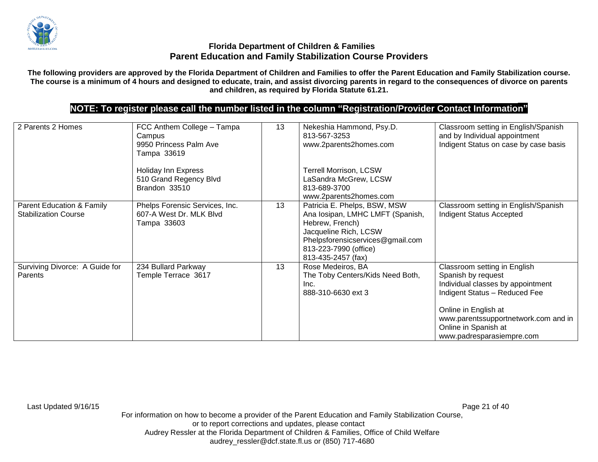

**The following providers are approved by the Florida Department of Children and Families to offer the Parent Education and Family Stabilization course. The course is a minimum of 4 hours and designed to educate, train, and assist divorcing parents in regard to the consequences of divorce on parents and children, as required by Florida Statute 61.21.**

# **NOTE: To register please call the number listed in the column "Registration/Provider Contact Information"**

| 2 Parents 2 Homes                                        | FCC Anthem College - Tampa<br>Campus<br>9950 Princess Palm Ave<br>Tampa 33619 | 13 | Nekeshia Hammond, Psy.D.<br>813-567-3253<br>www.2parents2homes.com                                                                                                                              | Classroom setting in English/Spanish<br>and by Individual appointment<br>Indigent Status on case by case basis                                                                                                                                |
|----------------------------------------------------------|-------------------------------------------------------------------------------|----|-------------------------------------------------------------------------------------------------------------------------------------------------------------------------------------------------|-----------------------------------------------------------------------------------------------------------------------------------------------------------------------------------------------------------------------------------------------|
|                                                          | <b>Holiday Inn Express</b><br>510 Grand Regency Blvd<br>Brandon 33510         |    | Terrell Morrison, LCSW<br>LaSandra McGrew, LCSW<br>813-689-3700<br>www.2parents2homes.com                                                                                                       |                                                                                                                                                                                                                                               |
| Parent Education & Family<br><b>Stabilization Course</b> | Phelps Forensic Services, Inc.<br>607-A West Dr. MLK Blvd<br>Tampa 33603      | 13 | Patricia E. Phelps, BSW, MSW<br>Ana Iosipan, LMHC LMFT (Spanish,<br>Hebrew, French)<br>Jacqueline Rich, LCSW<br>Phelpsforensicservices@gmail.com<br>813-223-7990 (office)<br>813-435-2457 (fax) | Classroom setting in English/Spanish<br><b>Indigent Status Accepted</b>                                                                                                                                                                       |
| Surviving Divorce: A Guide for<br>Parents                | 234 Bullard Parkway<br>Temple Terrace 3617                                    | 13 | Rose Medeiros, BA<br>The Toby Centers/Kids Need Both,<br>Inc.<br>888-310-6630 ext 3                                                                                                             | Classroom setting in English<br>Spanish by request<br>Individual classes by appointment<br>Indigent Status - Reduced Fee<br>Online in English at<br>www.parentssupportnetwork.com and in<br>Online in Spanish at<br>www.padresparasiempre.com |

Last Updated 9/16/15 Page 21 of 40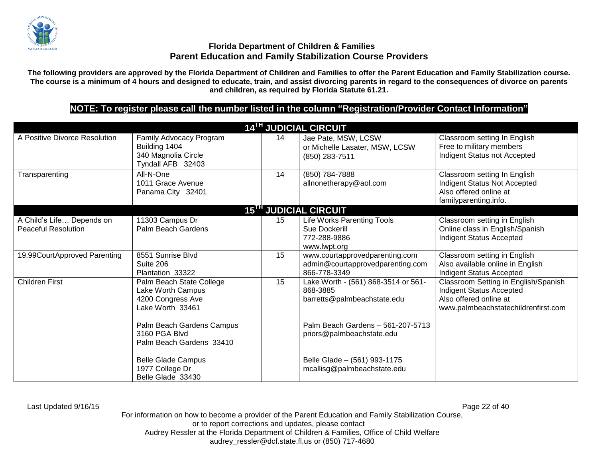

**The following providers are approved by the Florida Department of Children and Families to offer the Parent Education and Family Stabilization course. The course is a minimum of 4 hours and designed to educate, train, and assist divorcing parents in regard to the consequences of divorce on parents and children, as required by Florida Statute 61.21.**

# **NOTE: To register please call the number listed in the column "Registration/Provider Contact Information"**

|                                                         |                                                                                                                                      |    | <b>14TH JUDICIAL CIRCUIT</b>                                                                                                                     |                                                                                                                                          |
|---------------------------------------------------------|--------------------------------------------------------------------------------------------------------------------------------------|----|--------------------------------------------------------------------------------------------------------------------------------------------------|------------------------------------------------------------------------------------------------------------------------------------------|
| A Positive Divorce Resolution                           | Family Advocacy Program<br>Building 1404<br>340 Magnolia Circle<br>Tyndall AFB 32403                                                 | 14 | Jae Pate, MSW, LCSW<br>or Michelle Lasater, MSW, LCSW<br>(850) 283-7511                                                                          | Classroom setting In English<br>Free to military members<br>Indigent Status not Accepted                                                 |
| Transparenting                                          | All-N-One<br>1011 Grace Avenue<br>Panama City 32401                                                                                  | 14 | (850) 784-7888<br>allnonetherapy@aol.com                                                                                                         | Classroom setting In English<br>Indigent Status Not Accepted<br>Also offered online at<br>familyparenting.info.                          |
|                                                         |                                                                                                                                      |    | 15 <sup>TH</sup> JUDICIAL CIRCUIT                                                                                                                |                                                                                                                                          |
| A Child's Life Depends on<br><b>Peaceful Resolution</b> | 11303 Campus Dr<br>Palm Beach Gardens                                                                                                | 15 | Life Works Parenting Tools<br>Sue Dockerill<br>772-288-9886<br>www.lwpt.org                                                                      | Classroom setting in English<br>Online class in English/Spanish<br>Indigent Status Accepted                                              |
| 19.99CourtApproved Parenting                            | 8551 Sunrise Blvd<br>Suite 206<br>Plantation 33322                                                                                   | 15 | www.courtapprovedparenting.com<br>admin@courtapprovedparenting.com<br>866-778-3349                                                               | Classroom setting in English<br>Also available online in English<br>Indigent Status Accepted                                             |
| <b>Children First</b>                                   | Palm Beach State College<br>Lake Worth Campus<br>4200 Congress Ave<br>Lake Worth 33461<br>Palm Beach Gardens Campus<br>3160 PGA Blvd | 15 | Lake Worth - (561) 868-3514 or 561-<br>868-3885<br>barretts@palmbeachstate.edu<br>Palm Beach Gardens - 561-207-5713<br>priors@palmbeachstate.edu | Classroom Setting in English/Spanish<br><b>Indigent Status Accepted</b><br>Also offered online at<br>www.palmbeachstatechildrenfirst.com |
|                                                         | Palm Beach Gardens 33410<br><b>Belle Glade Campus</b><br>1977 College Dr<br>Belle Glade 33430                                        |    | Belle Glade - (561) 993-1175<br>mcallisg@palmbeachstate.edu                                                                                      |                                                                                                                                          |

Last Updated 9/16/15 Page 22 of 40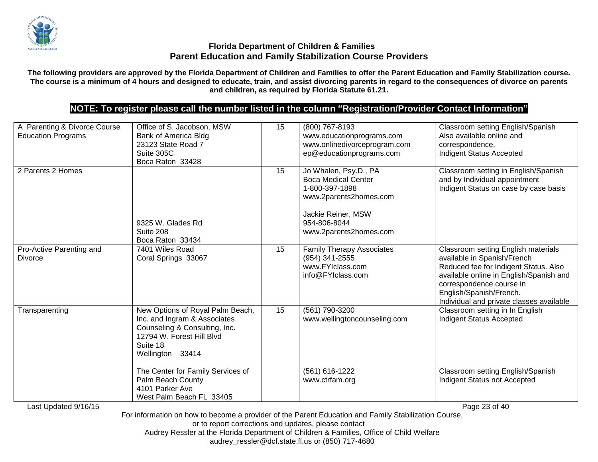

**The following providers are approved by the Florida Department of Children and Families to offer the Parent Education and Family Stabilization course. The course is a minimum of 4 hours and designed to educate, train, and assist divorcing parents in regard to the consequences of divorce on parents and children, as required by Florida Statute 61.21.**

# **NOTE: To register please call the number listed in the column "Registration/Provider Contact Information"**

| A Parenting & Divorce Course<br><b>Education Programs</b> | Office of S. Jacobson, MSW<br>Bank of America Bldg<br>23123 State Road 7<br>Suite 305C<br>Boca Raton 33428                                                     | 15 | (800) 767-8193<br>www.educationprograms.com<br>www.onlinedivorceprogram.com<br>ep@educationprograms.com                                                         | Classroom setting English/Spanish<br>Also available online and<br>correspondence,<br>Indigent Status Accepted                                                                                                                                             |
|-----------------------------------------------------------|----------------------------------------------------------------------------------------------------------------------------------------------------------------|----|-----------------------------------------------------------------------------------------------------------------------------------------------------------------|-----------------------------------------------------------------------------------------------------------------------------------------------------------------------------------------------------------------------------------------------------------|
| 2 Parents 2 Homes                                         | 9325 W. Glades Rd<br>Suite 208<br>Boca Raton 33434                                                                                                             | 15 | Jo Whalen, Psy.D., PA<br><b>Boca Medical Center</b><br>1-800-397-1898<br>www.2parents2homes.com<br>Jackie Reiner, MSW<br>954-806-8044<br>www.2parents2homes.com | Classroom setting in English/Spanish<br>and by Individual appointment<br>Indigent Status on case by case basis                                                                                                                                            |
| Pro-Active Parenting and<br><b>Divorce</b>                | 7401 Wiles Road<br>Coral Springs 33067                                                                                                                         | 15 | <b>Family Therapy Associates</b><br>(954) 341-2555<br>www.FYIclass.com<br>info@FYIclass.com                                                                     | Classroom setting English materials<br>available in Spanish/French<br>Reduced fee for Indigent Status. Also<br>available online in English/Spanish and<br>correspondence course in<br>English/Spanish/French.<br>Individual and private classes available |
| Transparenting                                            | New Options of Royal Palm Beach,<br>Inc. and Ingram & Associates<br>Counseling & Consulting, Inc.<br>12794 W. Forest Hill Blvd<br>Suite 18<br>Wellington 33414 | 15 | $(561)$ 790-3200<br>www.wellingtoncounseling.com                                                                                                                | Classroom setting in In English<br><b>Indigent Status Accepted</b>                                                                                                                                                                                        |
| Last Updated 9/16/15                                      | The Center for Family Services of<br>Palm Beach County<br>4101 Parker Ave<br>West Palm Beach FL 33405                                                          |    | (561) 616-1222<br>www.ctrfam.org                                                                                                                                | Classroom setting English/Spanish<br>Indigent Status not Accepted<br>Page 23 of 40                                                                                                                                                                        |

For information on how to become a provider of the Parent Education and Family Stabilization Course,

or to report corrections and updates, please contact

Audrey Ressler at the Florida Department of Children & Families, Office of Child Welfare

audrey\_ressler@dcf.state.fl.us or (850) 717-4680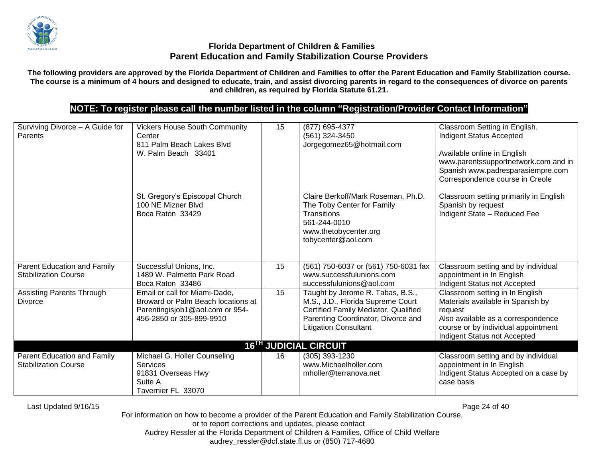

**The following providers are approved by the Florida Department of Children and Families to offer the Parent Education and Family Stabilization course. The course is a minimum of 4 hours and designed to educate, train, and assist divorcing parents in regard to the consequences of divorce on parents and children, as required by Florida Statute 61.21.**

# **NOTE: To register please call the number listed in the column "Registration/Provider Contact Information"**

| Surviving Divorce - A Guide for<br><b>Parents</b>          | <b>Vickers House South Community</b><br>Center<br>811 Palm Beach Lakes Blyd<br>W. Palm Beach 33401                                 | 15 | (877) 695-4377<br>(561) 324-3450<br>Jorgegomez65@hotmail.com                                                                                                                        | Classroom Setting in English.<br>Indigent Status Accepted<br>Available online in English<br>www.parentssupportnetwork.com and in<br>Spanish www.padresparasiempre.com<br>Correspondence course in Creole |
|------------------------------------------------------------|------------------------------------------------------------------------------------------------------------------------------------|----|-------------------------------------------------------------------------------------------------------------------------------------------------------------------------------------|----------------------------------------------------------------------------------------------------------------------------------------------------------------------------------------------------------|
|                                                            | St. Gregory's Episcopal Church<br>100 NE Mizner Blvd<br>Boca Raton 33429                                                           |    | Claire Berkoff/Mark Roseman, Ph.D.<br>The Toby Center for Family<br><b>Transitions</b><br>561-244-0010<br>www.thetobycenter.org<br>tobycenter@aol.com                               | Classroom setting primarily in English<br>Spanish by request<br>Indigent State - Reduced Fee                                                                                                             |
| Parent Education and Family<br><b>Stabilization Course</b> | Successful Unions, Inc.<br>1489 W. Palmetto Park Road<br>Boca Raton 33486                                                          | 15 | (561) 750-6037 or (561) 750-6031 fax<br>www.successfulunions.com<br>successfulunions@aol.com                                                                                        | Classroom setting and by individual<br>appointment in In English<br>Indigent Status not Accepted                                                                                                         |
| <b>Assisting Parents Through</b><br><b>Divorce</b>         | Email or call for Miami-Dade,<br>Broward or Palm Beach locations at<br>Parentingisjob1@aol.com or 954-<br>456-2850 or 305-899-9910 | 15 | Taught by Jerome R. Tabas, B.S.,<br>M.S., J.D., Florida Supreme Court<br>Certified Family Mediator, Qualified<br>Parenting Coordinator, Divorce and<br><b>Litigation Consultant</b> | Classroom setting in In English<br>Materials available in Spanish by<br>request<br>Also available as a correspondence<br>course or by individual appointment<br>Indigent Status not Accepted             |
|                                                            |                                                                                                                                    |    | <b>16<sup>TH</sup> JUDICIAL CIRCUIT</b>                                                                                                                                             |                                                                                                                                                                                                          |
| Parent Education and Family<br><b>Stabilization Course</b> | Michael G. Holler Counseling<br><b>Services</b><br>91831 Overseas Hwy<br>Suite A<br>Tavernier FL 33070                             | 16 | (305) 393-1230<br>www.Michaelholler.com<br>mholler@terranova.net                                                                                                                    | Classroom setting and by individual<br>appointment in In English<br>Indigent Status Accepted on a case by<br>case basis                                                                                  |

Last Updated 9/16/15 Page 24 of 40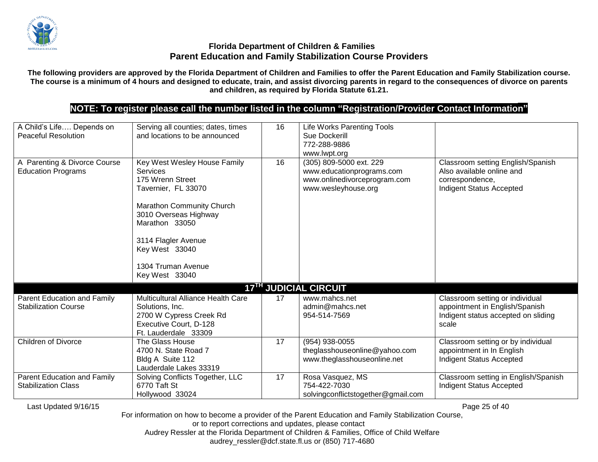

**The following providers are approved by the Florida Department of Children and Families to offer the Parent Education and Family Stabilization course. The course is a minimum of 4 hours and designed to educate, train, and assist divorcing parents in regard to the consequences of divorce on parents and children, as required by Florida Statute 61.21.**

# **NOTE: To register please call the number listed in the column "Registration/Provider Contact Information"**

| A Child's Life Depends on<br><b>Peaceful Resolution</b>    | Serving all counties; dates, times<br>and locations to be announced                                                                                                                                                                          | 16 | Life Works Parenting Tools<br>Sue Dockerill<br>772-288-9886<br>www.lwpt.org                                 |                                                                                                                   |
|------------------------------------------------------------|----------------------------------------------------------------------------------------------------------------------------------------------------------------------------------------------------------------------------------------------|----|-------------------------------------------------------------------------------------------------------------|-------------------------------------------------------------------------------------------------------------------|
| A Parenting & Divorce Course<br><b>Education Programs</b>  | Key West Wesley House Family<br>Services<br>175 Wrenn Street<br>Tavernier, FL 33070<br>Marathon Community Church<br>3010 Overseas Highway<br>Marathon 33050<br>3114 Flagler Avenue<br>Key West 33040<br>1304 Truman Avenue<br>Key West 33040 | 16 | (305) 809-5000 ext. 229<br>www.educationprograms.com<br>www.onlinedivorceprogram.com<br>www.wesleyhouse.org | Classroom setting English/Spanish<br>Also available online and<br>correspondence,<br>Indigent Status Accepted     |
|                                                            |                                                                                                                                                                                                                                              |    | 17 <sup>TH</sup> JUDICIAL CIRCUIT                                                                           |                                                                                                                   |
| Parent Education and Family<br><b>Stabilization Course</b> | Multicultural Alliance Health Care<br>Solutions, Inc.<br>2700 W Cypress Creek Rd<br>Executive Court, D-128<br>Ft. Lauderdale 33309                                                                                                           | 17 | www.mahcs.net<br>admin@mahcs.net<br>954-514-7569                                                            | Classroom setting or individual<br>appointment in English/Spanish<br>Indigent status accepted on sliding<br>scale |
| <b>Children of Divorce</b>                                 | The Glass House<br>4700 N. State Road 7<br>Bldg A Suite 112<br>Lauderdale Lakes 33319                                                                                                                                                        | 17 | (954) 938-0055<br>theglasshouseonline@yahoo.com<br>www.theglasshouseonline.net                              | Classroom setting or by individual<br>appointment in In English<br>Indigent Status Accepted                       |
| Parent Education and Family<br><b>Stabilization Class</b>  | Solving Conflicts Together, LLC<br>6770 Taft St<br>Hollywood 33024                                                                                                                                                                           | 17 | Rosa Vasquez, MS<br>754-422-7030<br>solvingconflictstogether@gmail.com                                      | Classroom setting in English/Spanish<br>Indigent Status Accepted                                                  |

Last Updated 9/16/15 Page 25 of 40

For information on how to become a provider of the Parent Education and Family Stabilization Course, or to report corrections and updates, please contact

Audrey Ressler at the Florida Department of Children & Families, Office of Child Welfare audrey\_ressler@dcf.state.fl.us or (850) 717-4680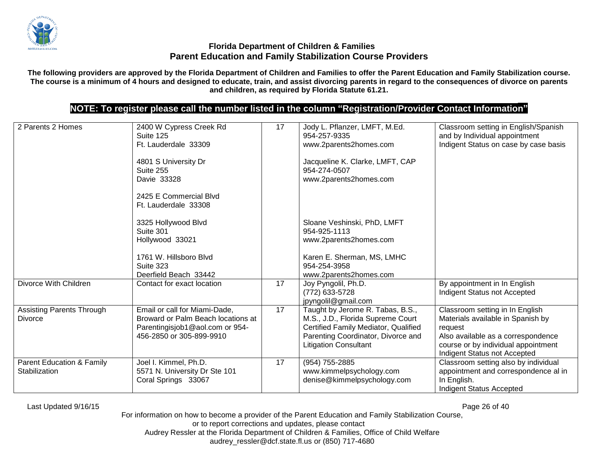

**The following providers are approved by the Florida Department of Children and Families to offer the Parent Education and Family Stabilization course. The course is a minimum of 4 hours and designed to educate, train, and assist divorcing parents in regard to the consequences of divorce on parents and children, as required by Florida Statute 61.21.**

## **NOTE: To register please call the number listed in the column "Registration/Provider Contact Information"**

| 2 Parents 2 Homes                                     | 2400 W Cypress Creek Rd<br>Suite 125<br>Ft. Lauderdale 33309<br>4801 S University Dr<br>Suite 255<br>Davie 33328<br>2425 E Commercial Blvd<br>Ft. Lauderdale 33308 | 17 | Jody L. Pflanzer, LMFT, M.Ed.<br>954-257-9335<br>www.2parents2homes.com<br>Jacqueline K. Clarke, LMFT, CAP<br>954-274-0507<br>www.2parents2homes.com                                | Classroom setting in English/Spanish<br>and by Individual appointment<br>Indigent Status on case by case basis                                                                               |
|-------------------------------------------------------|--------------------------------------------------------------------------------------------------------------------------------------------------------------------|----|-------------------------------------------------------------------------------------------------------------------------------------------------------------------------------------|----------------------------------------------------------------------------------------------------------------------------------------------------------------------------------------------|
|                                                       | 3325 Hollywood Blvd<br>Suite 301<br>Hollywood 33021<br>1761 W. Hillsboro Blvd<br>Suite 323<br>Deerfield Beach 33442                                                |    | Sloane Veshinski, PhD, LMFT<br>954-925-1113<br>www.2parents2homes.com<br>Karen E. Sherman, MS, LMHC<br>954-254-3958<br>www.2parents2homes.com                                       |                                                                                                                                                                                              |
| Divorce With Children                                 | Contact for exact location                                                                                                                                         | 17 | Joy Pyngolil, Ph.D.<br>(772) 633-5728<br>jpyngolil@gmail.com                                                                                                                        | By appointment in In English<br>Indigent Status not Accepted                                                                                                                                 |
| <b>Assisting Parents Through</b><br>Divorce           | Email or call for Miami-Dade,<br>Broward or Palm Beach locations at<br>Parentingisjob1@aol.com or 954-<br>456-2850 or 305-899-9910                                 | 17 | Taught by Jerome R. Tabas, B.S.,<br>M.S., J.D., Florida Supreme Court<br>Certified Family Mediator, Qualified<br>Parenting Coordinator, Divorce and<br><b>Litigation Consultant</b> | Classroom setting in In English<br>Materials available in Spanish by<br>request<br>Also available as a correspondence<br>course or by individual appointment<br>Indigent Status not Accepted |
| <b>Parent Education &amp; Family</b><br>Stabilization | Joel I. Kimmel, Ph.D.<br>5571 N. University Dr Ste 101<br>Coral Springs 33067                                                                                      | 17 | (954) 755-2885<br>www.kimmelpsychology.com<br>denise@kimmelpsychology.com                                                                                                           | Classroom setting also by individual<br>appointment and correspondence al in<br>In English.<br><b>Indigent Status Accepted</b>                                                               |

Last Updated 9/16/15 Page 26 of 40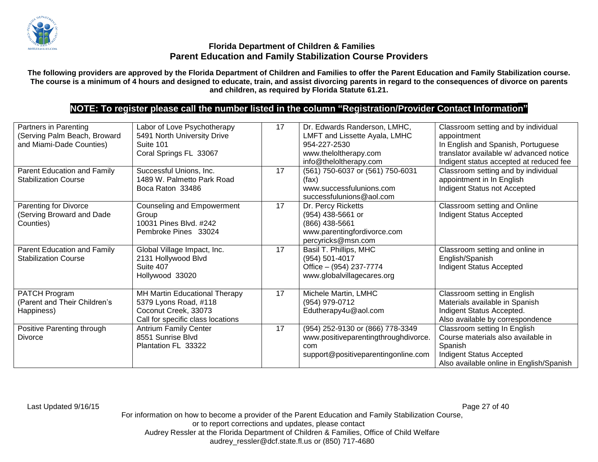

**The following providers are approved by the Florida Department of Children and Families to offer the Parent Education and Family Stabilization course. The course is a minimum of 4 hours and designed to educate, train, and assist divorcing parents in regard to the consequences of divorce on parents and children, as required by Florida Statute 61.21.**

# **NOTE: To register please call the number listed in the column "Registration/Provider Contact Information"**

| Partners in Parenting<br>(Serving Palm Beach, Broward<br>and Miami-Dade Counties) | Labor of Love Psychotherapy<br>5491 North University Drive<br>Suite 101<br>Coral Springs FL 33067                   | 17 | Dr. Edwards Randerson, LMHC,<br>LMFT and Lissette Ayala, LMHC<br>954-227-2530<br>www.theloltherapy.com<br>info@theloltherapy.com | Classroom setting and by individual<br>appointment<br>In English and Spanish, Portuguese<br>translator available w/ advanced notice<br>Indigent status accepted at reduced fee |
|-----------------------------------------------------------------------------------|---------------------------------------------------------------------------------------------------------------------|----|----------------------------------------------------------------------------------------------------------------------------------|--------------------------------------------------------------------------------------------------------------------------------------------------------------------------------|
| Parent Education and Family<br><b>Stabilization Course</b>                        | Successful Unions, Inc.<br>1489 W. Palmetto Park Road<br>Boca Raton 33486                                           | 17 | (561) 750-6037 or (561) 750-6031<br>(fax)<br>www.successfulunions.com<br>successfulunions@aol.com                                | Classroom setting and by individual<br>appointment in In English<br>Indigent Status not Accepted                                                                               |
| Parenting for Divorce<br>(Serving Broward and Dade<br>Counties)                   | <b>Counseling and Empowerment</b><br>Group<br>10031 Pines Blvd. #242<br>Pembroke Pines 33024                        | 17 | Dr. Percy Ricketts<br>(954) 438-5661 or<br>(866) 438-5661<br>www.parentingfordivorce.com<br>percyricks@msn.com                   | Classroom setting and Online<br>Indigent Status Accepted                                                                                                                       |
| Parent Education and Family<br><b>Stabilization Course</b>                        | Global Village Impact, Inc.<br>2131 Hollywood Blvd<br>Suite 407<br>Hollywood 33020                                  | 17 | Basil T. Phillips, MHC<br>(954) 501-4017<br>Office - (954) 237-7774<br>www.globalvillagecares.org                                | Classroom setting and online in<br>English/Spanish<br>Indigent Status Accepted                                                                                                 |
| PATCH Program<br>(Parent and Their Children's<br>Happiness)                       | MH Martin Educational Therapy<br>5379 Lyons Road, #118<br>Coconut Creek, 33073<br>Call for specific class locations | 17 | Michele Martin, LMHC<br>(954) 979-0712<br>Edutherapy4u@aol.com                                                                   | Classroom setting in English<br>Materials available in Spanish<br>Indigent Status Accepted.<br>Also available by correspondence                                                |
| Positive Parenting through<br>Divorce                                             | <b>Antrium Family Center</b><br>8551 Sunrise Blvd<br>Plantation FL 33322                                            | 17 | (954) 252-9130 or (866) 778-3349<br>www.positiveparentingthroughdivorce.<br>com<br>support@positiveparentingonline.com           | Classroom setting In English<br>Course materials also available in<br>Spanish<br>Indigent Status Accepted<br>Also available online in English/Spanish                          |

Last Updated 9/16/15 Page 27 of 40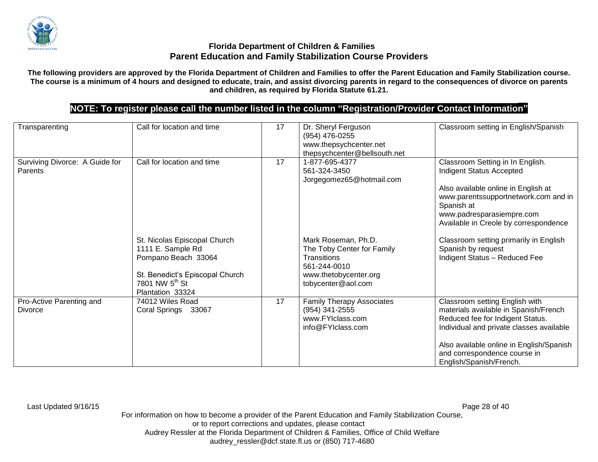

**The following providers are approved by the Florida Department of Children and Families to offer the Parent Education and Family Stabilization course. The course is a minimum of 4 hours and designed to educate, train, and assist divorcing parents in regard to the consequences of divorce on parents and children, as required by Florida Statute 61.21.**

# **NOTE: To register please call the number listed in the column "Registration/Provider Contact Information"**

| Transparenting                            | Call for location and time                                                                                                                                    | 17 | Dr. Sheryl Ferguson<br>(954) 476-0255<br>www.thepsychcenter.net<br>thepsychcenter@bellsouth.net                                        | Classroom setting in English/Spanish                                                                                                                                                                                                                           |
|-------------------------------------------|---------------------------------------------------------------------------------------------------------------------------------------------------------------|----|----------------------------------------------------------------------------------------------------------------------------------------|----------------------------------------------------------------------------------------------------------------------------------------------------------------------------------------------------------------------------------------------------------------|
| Surviving Divorce: A Guide for<br>Parents | Call for location and time                                                                                                                                    | 17 | 1-877-695-4377<br>561-324-3450<br>Jorgegomez65@hotmail.com                                                                             | Classroom Setting in In English.<br>Indigent Status Accepted<br>Also available online in English at<br>www.parentssupportnetwork.com and in<br>Spanish at<br>www.padresparasiempre.com<br>Available in Creole by correspondence                                |
|                                           | St. Nicolas Episcopal Church<br>1111 E. Sample Rd<br>Pompano Beach 33064<br>St. Benedict's Episcopal Church<br>7801 NW 5 <sup>th</sup> St<br>Plantation 33324 |    | Mark Roseman, Ph.D.<br>The Toby Center for Family<br><b>Transitions</b><br>561-244-0010<br>www.thetobycenter.org<br>tobycenter@aol.com | Classroom setting primarily in English<br>Spanish by request<br>Indigent Status - Reduced Fee                                                                                                                                                                  |
| Pro-Active Parenting and<br>Divorce       | 74012 Wiles Road<br>Coral Springs 33067                                                                                                                       | 17 | <b>Family Therapy Associates</b><br>(954) 341-2555<br>www.FYIclass.com<br>info@FYIclass.com                                            | Classroom setting English with<br>materials available in Spanish/French<br>Reduced fee for Indigent Status.<br>Individual and private classes available<br>Also available online in English/Spanish<br>and correspondence course in<br>English/Spanish/French. |

Last Updated 9/16/15 Page 28 of 40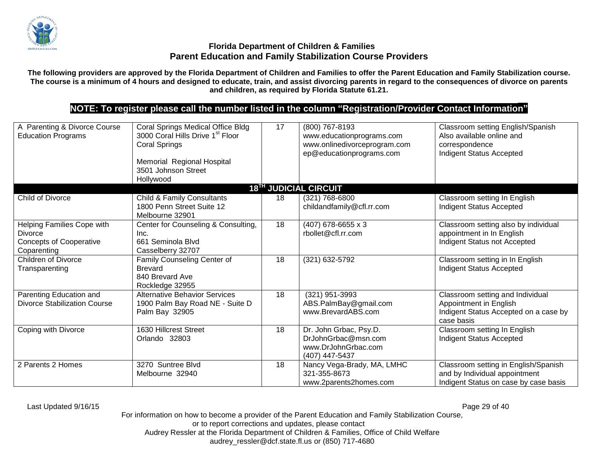

**The following providers are approved by the Florida Department of Children and Families to offer the Parent Education and Family Stabilization course. The course is a minimum of 4 hours and designed to educate, train, and assist divorcing parents in regard to the consequences of divorce on parents and children, as required by Florida Statute 61.21.**

# **NOTE: To register please call the number listed in the column "Registration/Provider Contact Information"**

| A Parenting & Divorce Course<br><b>Education Programs</b>                                     | <b>Coral Springs Medical Office Bldg</b><br>3000 Coral Hills Drive 1 <sup>st</sup> Floor<br><b>Coral Springs</b><br>Memorial Regional Hospital<br>3501 Johnson Street<br>Hollywood | 17 | (800) 767-8193<br>www.educationprograms.com<br>www.onlinedivorceprogram.com<br>ep@educationprograms.com | Classroom setting English/Spanish<br>Also available online and<br>correspondence<br>Indigent Status Accepted      |
|-----------------------------------------------------------------------------------------------|------------------------------------------------------------------------------------------------------------------------------------------------------------------------------------|----|---------------------------------------------------------------------------------------------------------|-------------------------------------------------------------------------------------------------------------------|
|                                                                                               |                                                                                                                                                                                    |    | 18 <sup>TH</sup> JUDICIAL CIRCUIT                                                                       |                                                                                                                   |
| <b>Child of Divorce</b>                                                                       | <b>Child &amp; Family Consultants</b><br>1800 Penn Street Suite 12<br>Melbourne 32901                                                                                              | 18 | (321) 768-6800<br>childandfamily@cfl.rr.com                                                             | Classroom setting In English<br><b>Indigent Status Accepted</b>                                                   |
| Helping Families Cope with<br><b>Divorce</b><br><b>Concepts of Cooperative</b><br>Coparenting | Center for Counseling & Consulting,<br>Inc.<br>661 Seminola Blvd<br>Casselberry 32707                                                                                              | 18 | (407) 678-6655 x 3<br>rbollet@cfl.rr.com                                                                | Classroom setting also by individual<br>appointment in In English<br>Indigent Status not Accepted                 |
| <b>Children of Divorce</b><br>Transparenting                                                  | Family Counseling Center of<br><b>Brevard</b><br>840 Brevard Ave<br>Rockledge 32955                                                                                                | 18 | (321) 632-5792                                                                                          | Classroom setting in In English<br><b>Indigent Status Accepted</b>                                                |
| Parenting Education and<br><b>Divorce Stabilization Course</b>                                | <b>Alternative Behavior Services</b><br>1900 Palm Bay Road NE - Suite D<br>Palm Bay 32905                                                                                          | 18 | (321) 951-3993<br>ABS.PalmBay@gmail.com<br>www.BrevardABS.com                                           | Classroom setting and Individual<br>Appointment in English<br>Indigent Status Accepted on a case by<br>case basis |
| Coping with Divorce                                                                           | 1630 Hillcrest Street<br>Orlando 32803                                                                                                                                             | 18 | Dr. John Grbac, Psy.D.<br>DrJohnGrbac@msn.com<br>www.DrJohnGrbac.com<br>(407) 447-5437                  | Classroom setting In English<br><b>Indigent Status Accepted</b>                                                   |
| 2 Parents 2 Homes                                                                             | 3270 Suntree Blvd<br>Melbourne 32940                                                                                                                                               | 18 | Nancy Vega-Brady, MA, LMHC<br>321-355-8673<br>www.2parents2homes.com                                    | Classroom setting in English/Spanish<br>and by Individual appointment<br>Indigent Status on case by case basis    |

Last Updated 9/16/15 Page 29 of 40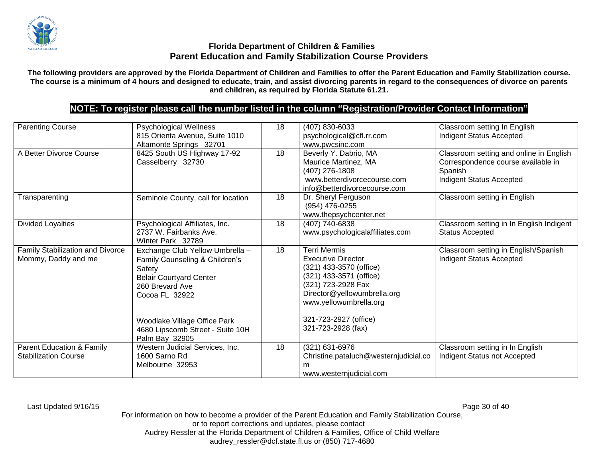

**The following providers are approved by the Florida Department of Children and Families to offer the Parent Education and Family Stabilization course. The course is a minimum of 4 hours and designed to educate, train, and assist divorcing parents in regard to the consequences of divorce on parents and children, as required by Florida Statute 61.21.**

# **NOTE: To register please call the number listed in the column "Registration/Provider Contact Information"**

| <b>Parenting Course</b>                                             | Psychological Wellness<br>815 Orienta Avenue, Suite 1010<br>Altamonte Springs 32701                                                                | 18 | (407) 830-6033<br>psychological@cfl.rr.com<br>www.pwcsinc.com                                                                                                                         | Classroom setting In English<br><b>Indigent Status Accepted</b>                                                      |
|---------------------------------------------------------------------|----------------------------------------------------------------------------------------------------------------------------------------------------|----|---------------------------------------------------------------------------------------------------------------------------------------------------------------------------------------|----------------------------------------------------------------------------------------------------------------------|
| A Better Divorce Course                                             | 8425 South US Highway 17-92<br>Casselberry 32730                                                                                                   | 18 | Beverly Y. Dabrio, MA<br>Maurice Martinez, MA<br>(407) 276-1808<br>www.betterdivorcecourse.com<br>info@betterdivorcecourse.com                                                        | Classroom setting and online in English<br>Correspondence course available in<br>Spanish<br>Indigent Status Accepted |
| Transparenting                                                      | Seminole County, call for location                                                                                                                 | 18 | Dr. Sheryl Ferguson<br>(954) 476-0255<br>www.thepsychcenter.net                                                                                                                       | Classroom setting in English                                                                                         |
| <b>Divided Loyalties</b>                                            | Psychological Affiliates, Inc.<br>2737 W. Fairbanks Ave.<br>Winter Park 32789                                                                      | 18 | (407) 740-6838<br>www.psychologicalaffiliates.com                                                                                                                                     | Classroom setting in In English Indigent<br><b>Status Accepted</b>                                                   |
| Family Stabilization and Divorce<br>Mommy, Daddy and me             | Exchange Club Yellow Umbrella -<br>Family Counseling & Children's<br>Safety<br><b>Belair Courtyard Center</b><br>260 Brevard Ave<br>Cocoa FL 32922 | 18 | <b>Terri Mermis</b><br><b>Executive Director</b><br>(321) 433-3570 (office)<br>(321) 433-3571 (office)<br>(321) 723-2928 Fax<br>Director@yellowumbrella.org<br>www.yellowumbrella.org | Classroom setting in English/Spanish<br><b>Indigent Status Accepted</b>                                              |
|                                                                     | Woodlake Village Office Park<br>4680 Lipscomb Street - Suite 10H<br>Palm Bay 32905                                                                 |    | 321-723-2927 (office)<br>321-723-2928 (fax)                                                                                                                                           |                                                                                                                      |
| <b>Parent Education &amp; Family</b><br><b>Stabilization Course</b> | Western Judicial Services, Inc.<br>1600 Sarno Rd<br>Melbourne 32953                                                                                | 18 | (321) 631-6976<br>Christine.pataluch@westernjudicial.co<br>m<br>www.westernjudicial.com                                                                                               | Classroom setting in In English<br>Indigent Status not Accepted                                                      |

Last Updated 9/16/15 Page 30 of 40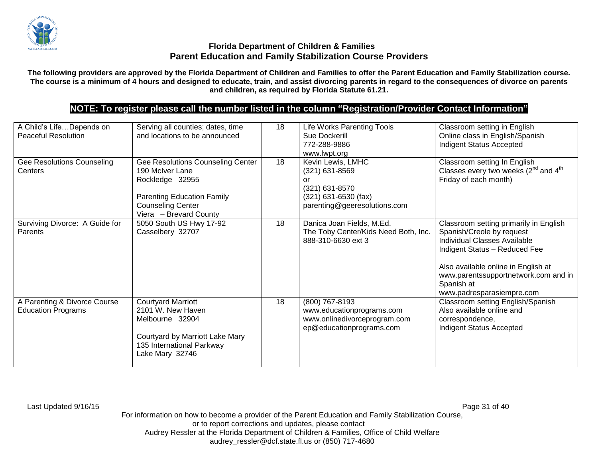

**The following providers are approved by the Florida Department of Children and Families to offer the Parent Education and Family Stabilization course. The course is a minimum of 4 hours and designed to educate, train, and assist divorcing parents in regard to the consequences of divorce on parents and children, as required by Florida Statute 61.21.**

# **NOTE: To register please call the number listed in the column "Registration/Provider Contact Information"**

| A Child's LifeDepends on<br><b>Peaceful Resolution</b>    | Serving all counties; dates, time<br>and locations to be announced                                                                                                 | 18 | Life Works Parenting Tools<br>Sue Dockerill<br>772-288-9886<br>www.lwpt.org                                           | Classroom setting in English<br>Online class in English/Spanish<br><b>Indigent Status Accepted</b>                                                                                                                                                             |
|-----------------------------------------------------------|--------------------------------------------------------------------------------------------------------------------------------------------------------------------|----|-----------------------------------------------------------------------------------------------------------------------|----------------------------------------------------------------------------------------------------------------------------------------------------------------------------------------------------------------------------------------------------------------|
| Gee Resolutions Counseling<br>Centers                     | Gee Resolutions Counseling Center<br>190 McIver Lane<br>Rockledge 32955<br><b>Parenting Education Family</b><br><b>Counseling Center</b><br>Viera - Brevard County | 18 | Kevin Lewis, LMHC<br>(321) 631-8569<br>or<br>(321) 631-8570<br>$(321)$ 631-6530 (fax)<br>parenting@geeresolutions.com | Classroom setting In English<br>Classes every two weeks (2 <sup>nd</sup> and 4 <sup>th</sup><br>Friday of each month)                                                                                                                                          |
| Surviving Divorce: A Guide for<br>Parents                 | 5050 South US Hwy 17-92<br>Casselbery 32707                                                                                                                        | 18 | Danica Joan Fields, M.Ed.<br>The Toby Center/Kids Need Both, Inc.<br>888-310-6630 ext 3                               | Classroom setting primarily in English<br>Spanish/Creole by request<br>Individual Classes Available<br>Indigent Status - Reduced Fee<br>Also available online in English at<br>www.parentssupportnetwork.com and in<br>Spanish at<br>www.padresparasiempre.com |
| A Parenting & Divorce Course<br><b>Education Programs</b> | <b>Courtyard Marriott</b><br>2101 W. New Haven<br>Melbourne 32904<br>Courtyard by Marriott Lake Mary<br>135 International Parkway<br>Lake Mary 32746               | 18 | (800) 767-8193<br>www.educationprograms.com<br>www.onlinedivorceprogram.com<br>ep@educationprograms.com               | Classroom setting English/Spanish<br>Also available online and<br>correspondence,<br>Indigent Status Accepted                                                                                                                                                  |

Last Updated 9/16/15 Page 31 of 40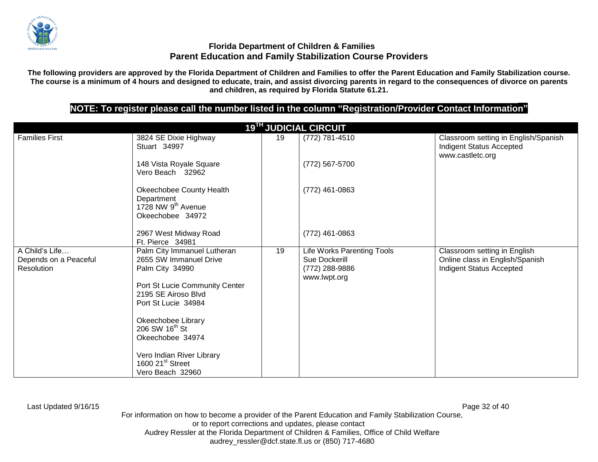

**The following providers are approved by the Florida Department of Children and Families to offer the Parent Education and Family Stabilization course. The course is a minimum of 4 hours and designed to educate, train, and assist divorcing parents in regard to the consequences of divorce on parents and children, as required by Florida Statute 61.21.**

# **NOTE: To register please call the number listed in the column "Registration/Provider Contact Information"**

|                                                       |                                                                                                                                                                                                                                                                                                                   |    | <b>19<sup>TH</sup> JUDICIAL CIRCUIT</b>                                       |                                                                                                    |
|-------------------------------------------------------|-------------------------------------------------------------------------------------------------------------------------------------------------------------------------------------------------------------------------------------------------------------------------------------------------------------------|----|-------------------------------------------------------------------------------|----------------------------------------------------------------------------------------------------|
| <b>Families First</b>                                 | 3824 SE Dixie Highway<br>Stuart 34997                                                                                                                                                                                                                                                                             | 19 | (772) 781-4510                                                                | Classroom setting in English/Spanish<br>Indigent Status Accepted<br>www.castletc.org               |
|                                                       | 148 Vista Royale Square<br>Vero Beach 32962                                                                                                                                                                                                                                                                       |    | (772) 567-5700                                                                |                                                                                                    |
|                                                       | Okeechobee County Health<br>Department<br>1728 NW 9 <sup>th</sup> Avenue<br>Okeechobee 34972                                                                                                                                                                                                                      |    | (772) 461-0863                                                                |                                                                                                    |
|                                                       | 2967 West Midway Road<br>Ft. Pierce 34981                                                                                                                                                                                                                                                                         |    | (772) 461-0863                                                                |                                                                                                    |
| A Child's Life<br>Depends on a Peaceful<br>Resolution | Palm City Immanuel Lutheran<br>2655 SW Immanuel Drive<br>Palm City 34990<br>Port St Lucie Community Center<br>2195 SE Airoso Blvd<br>Port St Lucie 34984<br>Okeechobee Library<br>206 SW 16 <sup>th</sup> St<br>Okeechobee 34974<br>Vero Indian River Library<br>1600 21 <sup>st</sup> Street<br>Vero Beach 32960 | 19 | Life Works Parenting Tools<br>Sue Dockerill<br>(772) 288-9886<br>www.lwpt.org | Classroom setting in English<br>Online class in English/Spanish<br><b>Indigent Status Accepted</b> |

Last Updated 9/16/15 Page 32 of 40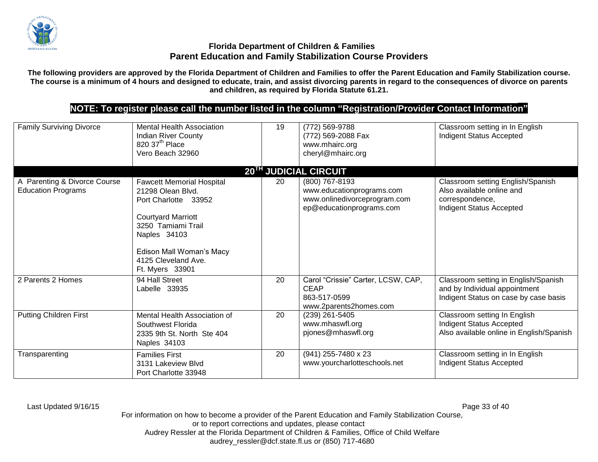

**The following providers are approved by the Florida Department of Children and Families to offer the Parent Education and Family Stabilization course. The course is a minimum of 4 hours and designed to educate, train, and assist divorcing parents in regard to the consequences of divorce on parents and children, as required by Florida Statute 61.21.**

# **NOTE: To register please call the number listed in the column "Registration/Provider Contact Information"**

| <b>Family Surviving Divorce</b>                           | <b>Mental Health Association</b><br><b>Indian River County</b><br>820 37 <sup>th</sup> Place<br>Vero Beach 32960                                                                                                       | 19 | (772) 569-9788<br>(772) 569-2088 Fax<br>www.mhairc.org<br>cheryl@mhairc.org                             | Classroom setting in In English<br><b>Indigent Status Accepted</b>                                                   |
|-----------------------------------------------------------|------------------------------------------------------------------------------------------------------------------------------------------------------------------------------------------------------------------------|----|---------------------------------------------------------------------------------------------------------|----------------------------------------------------------------------------------------------------------------------|
|                                                           |                                                                                                                                                                                                                        |    | 20 <sup>TH</sup> JUDICIAL CIRCUIT                                                                       |                                                                                                                      |
| A Parenting & Divorce Course<br><b>Education Programs</b> | <b>Fawcett Memorial Hospital</b><br>21298 Olean Blvd.<br>Port Charlotte 33952<br><b>Courtyard Marriott</b><br>3250 Tamiami Trail<br>Naples 34103<br>Edison Mall Woman's Macy<br>4125 Cleveland Ave.<br>Ft. Myers 33901 | 20 | (800) 767-8193<br>www.educationprograms.com<br>www.onlinedivorceprogram.com<br>ep@educationprograms.com | Classroom setting English/Spanish<br>Also available online and<br>correspondence,<br><b>Indigent Status Accepted</b> |
| 2 Parents 2 Homes                                         | 94 Hall Street<br>Labelle 33935                                                                                                                                                                                        | 20 | Carol "Crissie" Carter, LCSW, CAP,<br><b>CEAP</b><br>863-517-0599<br>www.2parents2homes.com             | Classroom setting in English/Spanish<br>and by Individual appointment<br>Indigent Status on case by case basis       |
| <b>Putting Children First</b>                             | Mental Health Association of<br>Southwest Florida<br>2335 9th St. North Ste 404<br>Naples 34103                                                                                                                        | 20 | (239) 261-5405<br>www.mhaswfl.org<br>pjones@mhaswfl.org                                                 | Classroom setting In English<br><b>Indigent Status Accepted</b><br>Also available online in English/Spanish          |
| Transparenting                                            | <b>Families First</b><br>3131 Lakeview Blvd<br>Port Charlotte 33948                                                                                                                                                    | 20 | (941) 255-7480 x 23<br>www.yourcharlotteschools.net                                                     | Classroom setting in In English<br><b>Indigent Status Accepted</b>                                                   |

Last Updated 9/16/15 Page 33 of 40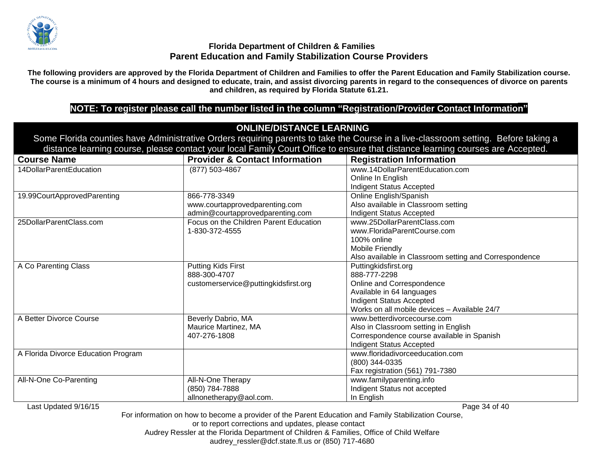

**The following providers are approved by the Florida Department of Children and Families to offer the Parent Education and Family Stabilization course. The course is a minimum of 4 hours and designed to educate, train, and assist divorcing parents in regard to the consequences of divorce on parents and children, as required by Florida Statute 61.21.**

## **NOTE: To register please call the number listed in the column "Registration/Provider Contact Information"**

#### **ONLINE/DISTANCE LEARNING** Some Florida counties have Administrative Orders requiring parents to take the Course in a live-classroom setting. Before taking a distance learning course, please contact your local Family Court Office to ensure that distance learning courses are Accepted. **Course Name Provider & Contact Information Registration Information** 14DollarParentEducation (877) 503-4867 www.14DollarParentEducation.com Online In English Indigent Status Accepted 19.99CourtApprovedParenting 866-778-3349 www.courtapprovedparenting.com admin@courtapprovedparenting.com Online English/Spanish Also available in Classroom setting Indigent Status Accepted 25DollarParentClass.com Focus on the Children Parent Education 1-830-372-4555 www.25DollarParentClass.com www.FloridaParentCourse.com 100% online Mobile Friendly Also available in Classroom setting and Correspondence A Co Parenting Class **Putting Kids First** 888-300-4707 customerservice@puttingkidsfirst.org Puttingkidsfirst.org 888-777-2298 Online and Correspondence Available in 64 languages Indigent Status Accepted Works on all mobile devices – Available 24/7 A Better Divorce Course **Business** Beverly Dabrio, MA Maurice Martinez, MA 407-276-1808 www.betterdivorcecourse.com Also in Classroom setting in English Correspondence course available in Spanish Indigent Status Accepted A Florida Divorce Education Program [www.floridadivorceeducation.com](http://www.floridadivorceeducation.com/) (800) 344-0335 Fax registration (561) 791-7380 All-N-One Co-Parenting All-N-One Therapy (850) 784-7888 allnonetherapy@aol.com. www.familyparenting.info Indigent Status not accepted In English

Last Updated 9/16/15 Page 34 of 40

For information on how to become a provider of the Parent Education and Family Stabilization Course,

or to report corrections and updates, please contact

Audrey Ressler at the Florida Department of Children & Families, Office of Child Welfare

audrey\_ressler@dcf.state.fl.us or (850) 717-4680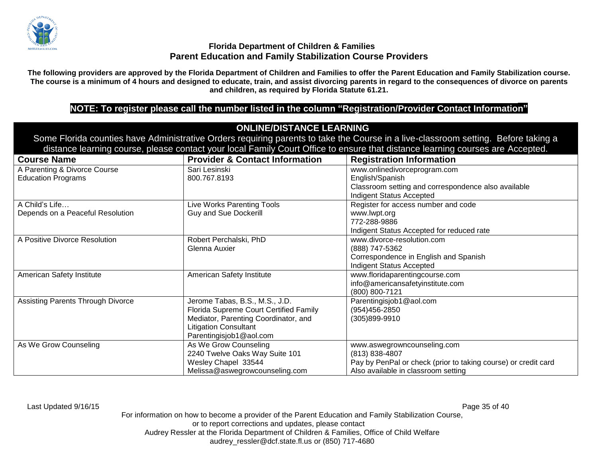

**The following providers are approved by the Florida Department of Children and Families to offer the Parent Education and Family Stabilization course. The course is a minimum of 4 hours and designed to educate, train, and assist divorcing parents in regard to the consequences of divorce on parents and children, as required by Florida Statute 61.21.**

## **NOTE: To register please call the number listed in the column "Registration/Provider Contact Information"**

# **ONLINE/DISTANCE LEARNING**

Some Florida counties have Administrative Orders requiring parents to take the Course in a live-classroom setting. Before taking a distance learning course, please contact your local Family Court Office to ensure that distance learning courses are Accepted.

| <b>Course Name</b>                       | <b>Provider &amp; Contact Information</b> | <b>Registration Information</b>                                |
|------------------------------------------|-------------------------------------------|----------------------------------------------------------------|
| A Parenting & Divorce Course             | Sari Lesinski                             | www.onlinedivorceprogram.com                                   |
| <b>Education Programs</b>                | 800.767.8193                              | English/Spanish                                                |
|                                          |                                           | Classroom setting and correspondence also available            |
|                                          |                                           | Indigent Status Accepted                                       |
| A Child's Life                           | Live Works Parenting Tools                | Register for access number and code                            |
| Depends on a Peaceful Resolution         | <b>Guy and Sue Dockerill</b>              | www.lwpt.org                                                   |
|                                          |                                           | 772-288-9886                                                   |
|                                          |                                           | Indigent Status Accepted for reduced rate                      |
| A Positive Divorce Resolution            | Robert Perchalski, PhD                    | www.divorce-resolution.com                                     |
|                                          | Glenna Auxier                             | (888) 747-5362                                                 |
|                                          |                                           | Correspondence in English and Spanish                          |
|                                          |                                           | Indigent Status Accepted                                       |
| American Safety Institute                | American Safety Institute                 | www.floridaparentingcourse.com                                 |
|                                          |                                           | info@americansafetyinstitute.com                               |
|                                          |                                           | (800) 800-7121                                                 |
| <b>Assisting Parents Through Divorce</b> | Jerome Tabas, B.S., M.S., J.D.            | Parentingisjob1@aol.com                                        |
|                                          | Florida Supreme Court Certified Family    | (954)456-2850                                                  |
|                                          | Mediator, Parenting Coordinator, and      | (305)899-9910                                                  |
|                                          | <b>Litigation Consultant</b>              |                                                                |
|                                          | Parentingisjob1@aol.com                   |                                                                |
| As We Grow Counseling                    | As We Grow Counseling                     | www.aswegrowncounseling.com                                    |
|                                          | 2240 Twelve Oaks Way Suite 101            | (813) 838-4807                                                 |
|                                          | Wesley Chapel 33544                       | Pay by PenPal or check (prior to taking course) or credit card |
|                                          | Melissa@aswegrowcounseling.com            | Also available in classroom setting                            |

Last Updated 9/16/15 Page 35 of 40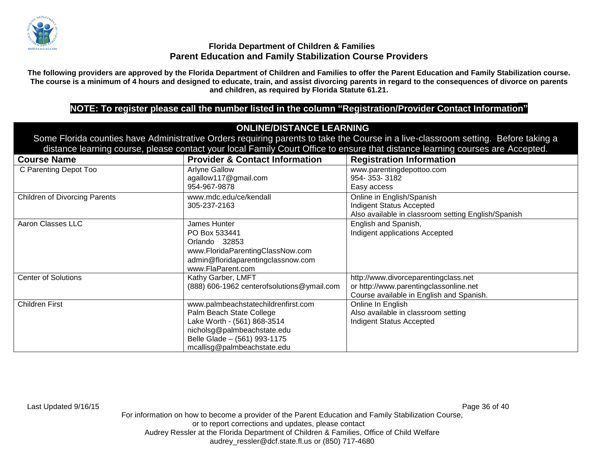

**The following providers are approved by the Florida Department of Children and Families to offer the Parent Education and Family Stabilization course. The course is a minimum of 4 hours and designed to educate, train, and assist divorcing parents in regard to the consequences of divorce on parents and children, as required by Florida Statute 61.21.**

## **NOTE: To register please call the number listed in the column "Registration/Provider Contact Information"**

## **ONLINE/DISTANCE LEARNING**

Some Florida counties have Administrative Orders requiring parents to take the Course in a live-classroom setting. Before taking a distance learning course, please contact your local Family Court Office to ensure that distance learning courses are Accepted.

| <b>Course Name</b>                   | <b>Provider &amp; Contact Information</b>  | <b>Registration Information</b>                     |
|--------------------------------------|--------------------------------------------|-----------------------------------------------------|
| C Parenting Depot Too                | <b>Arlyne Gallow</b>                       | www.parentingdepottoo.com                           |
|                                      | agallow117@gmail.com                       | 954-353-3182                                        |
|                                      | 954-967-9878                               | Easy access                                         |
| <b>Children of Divorcing Parents</b> | www.mdc.edu/ce/kendall                     | Online in English/Spanish                           |
|                                      | 305-237-2163                               | <b>Indigent Status Accepted</b>                     |
|                                      |                                            | Also available in classroom setting English/Spanish |
| Aaron Classes LLC                    | James Hunter                               | English and Spanish,                                |
|                                      | PO Box 533441                              | Indigent applications Accepted                      |
|                                      | Orlando 32853                              |                                                     |
|                                      | www.FloridaParentingClassNow.com           |                                                     |
|                                      | admin@floridaparentingclassnow.com         |                                                     |
|                                      | www.FlaParent.com                          |                                                     |
| <b>Center of Solutions</b>           | Kathy Garber, LMFT                         | http://www.divorceparentingclass.net                |
|                                      | (888) 606-1962 centerofsolutions@ymail.com | or http://www.parentingclassonline.net              |
|                                      |                                            | Course available in English and Spanish.            |
| <b>Children First</b>                | www.palmbeachstatechildrenfirst.com        | Online In English                                   |
|                                      | Palm Beach State College                   | Also available in classroom setting                 |
|                                      | Lake Worth - (561) 868-3514                | Indigent Status Accepted                            |
|                                      | nicholsg@palmbeachstate.edu                |                                                     |
|                                      | Belle Glade - (561) 993-1175               |                                                     |
|                                      | mcallisg@palmbeachstate.edu                |                                                     |

Last Updated 9/16/15 Page 36 of 40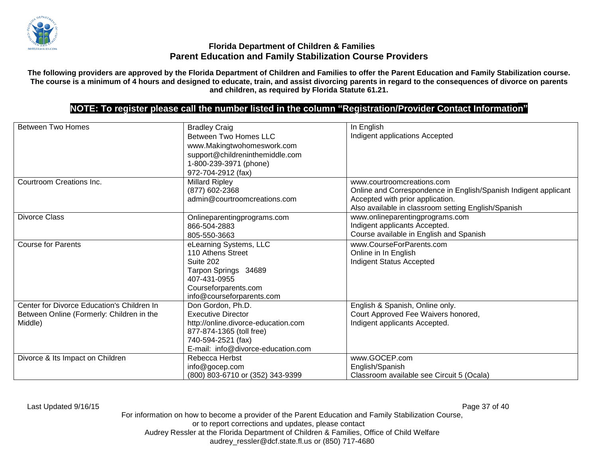

**The following providers are approved by the Florida Department of Children and Families to offer the Parent Education and Family Stabilization course. The course is a minimum of 4 hours and designed to educate, train, and assist divorcing parents in regard to the consequences of divorce on parents and children, as required by Florida Statute 61.21.**

# **NOTE: To register please call the number listed in the column "Registration/Provider Contact Information"**

| <b>Between Two Homes</b>                                                                           | <b>Bradley Craig</b><br><b>Between Two Homes LLC</b><br>www.Makingtwohomeswork.com<br>support@childreninthemiddle.com<br>1-800-239-3971 (phone)<br>972-704-2912 (fax)         | In English<br>Indigent applications Accepted                                                                                                                                             |
|----------------------------------------------------------------------------------------------------|-------------------------------------------------------------------------------------------------------------------------------------------------------------------------------|------------------------------------------------------------------------------------------------------------------------------------------------------------------------------------------|
| Courtroom Creations Inc.                                                                           | <b>Millard Ripley</b><br>(877) 602-2368<br>admin@courtroomcreations.com                                                                                                       | www.courtroomcreations.com<br>Online and Correspondence in English/Spanish Indigent applicant<br>Accepted with prior application.<br>Also available in classroom setting English/Spanish |
| <b>Divorce Class</b>                                                                               | Onlineparentingprograms.com<br>866-504-2883<br>805-550-3663                                                                                                                   | www.onlineparentingprograms.com<br>Indigent applicants Accepted.<br>Course available in English and Spanish                                                                              |
| <b>Course for Parents</b>                                                                          | eLearning Systems, LLC<br>110 Athens Street<br>Suite 202<br>Tarpon Springs 34689<br>407-431-0955<br>Courseforparents.com<br>info@courseforparents.com                         | www.CourseForParents.com<br>Online in In English<br>Indigent Status Accepted                                                                                                             |
| Center for Divorce Education's Children In<br>Between Online (Formerly: Children in the<br>Middle) | Don Gordon, Ph.D.<br><b>Executive Director</b><br>http://online.divorce-education.com<br>877-874-1365 (toll free)<br>740-594-2521 (fax)<br>E-mail: info@divorce-education.com | English & Spanish, Online only.<br>Court Approved Fee Waivers honored,<br>Indigent applicants Accepted.                                                                                  |
| Divorce & Its Impact on Children                                                                   | Rebecca Herbst<br>info@gocep.com<br>(800) 803-6710 or (352) 343-9399                                                                                                          | www.GOCEP.com<br>English/Spanish<br>Classroom available see Circuit 5 (Ocala)                                                                                                            |

Last Updated 9/16/15 Page 37 of 40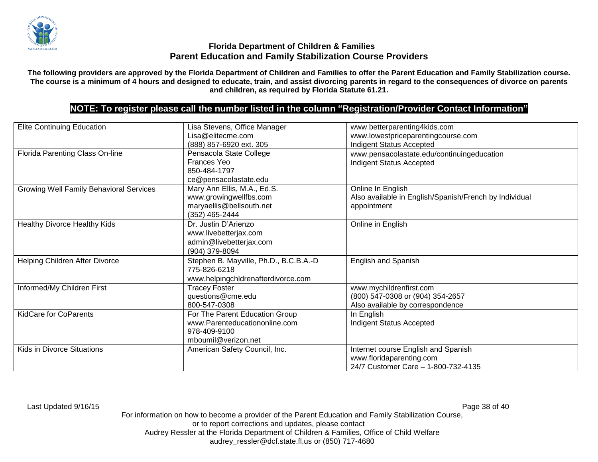

**The following providers are approved by the Florida Department of Children and Families to offer the Parent Education and Family Stabilization course. The course is a minimum of 4 hours and designed to educate, train, and assist divorcing parents in regard to the consequences of divorce on parents and children, as required by Florida Statute 61.21.**

## **NOTE: To register please call the number listed in the column "Registration/Provider Contact Information"**

| <b>Elite Continuing Education</b>              | Lisa Stevens, Office Manager           | www.betterparenting4kids.com                           |
|------------------------------------------------|----------------------------------------|--------------------------------------------------------|
|                                                | Lisa@elitecme.com                      | www.lowestpriceparentingcourse.com                     |
|                                                | (888) 857-6920 ext. 305                | Indigent Status Accepted                               |
| Florida Parenting Class On-line                | Pensacola State College                | www.pensacolastate.edu/continuingeducation             |
|                                                | Frances Yeo                            | <b>Indigent Status Accepted</b>                        |
|                                                | 850-484-1797                           |                                                        |
|                                                | ce@pensacolastate.edu                  |                                                        |
| <b>Growing Well Family Behavioral Services</b> | Mary Ann Ellis, M.A., Ed.S.            | Online In English                                      |
|                                                | www.growingwellfbs.com                 | Also available in English/Spanish/French by Individual |
|                                                | maryaellis@bellsouth.net               | appointment                                            |
|                                                | (352) 465-2444                         |                                                        |
| Healthy Divorce Healthy Kids                   | Dr. Justin D'Arienzo                   | Online in English                                      |
|                                                | www.livebetterjax.com                  |                                                        |
|                                                | admin@livebetterjax.com                |                                                        |
|                                                | (904) 379-8094                         |                                                        |
| Helping Children After Divorce                 | Stephen B. Mayville, Ph.D., B.C.B.A.-D | <b>English and Spanish</b>                             |
|                                                | 775-826-6218                           |                                                        |
|                                                | www.helpingchldrenafterdivorce.com     |                                                        |
| Informed/My Children First                     | <b>Tracey Foster</b>                   | www.mychildrenfirst.com                                |
|                                                | questions@cme.edu                      | (800) 547-0308 or (904) 354-2657                       |
|                                                | 800-547-0308                           | Also available by correspondence                       |
| <b>KidCare for CoParents</b>                   | For The Parent Education Group         | In English                                             |
|                                                | www.Parenteducationonline.com          | Indigent Status Accepted                               |
|                                                | 978-409-9100                           |                                                        |
|                                                | mboumil@verizon.net                    |                                                        |
| Kids in Divorce Situations                     | American Safety Council, Inc.          | Internet course English and Spanish                    |
|                                                |                                        | www.floridaparenting.com                               |
|                                                |                                        | 24/7 Customer Care - 1-800-732-4135                    |

Last Updated 9/16/15 Page 38 of 40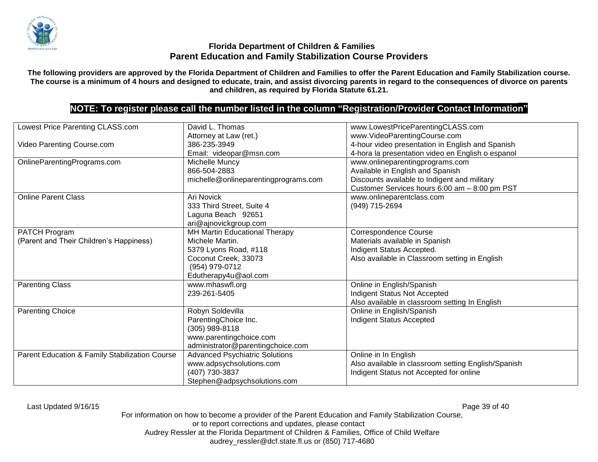

**The following providers are approved by the Florida Department of Children and Families to offer the Parent Education and Family Stabilization course. The course is a minimum of 4 hours and designed to educate, train, and assist divorcing parents in regard to the consequences of divorce on parents and children, as required by Florida Statute 61.21.**

## **NOTE: To register please call the number listed in the column "Registration/Provider Contact Information"**

| Lowest Price Parenting CLASS.com               | David L. Thomas                       | www.LowestPriceParentingCLASS.com                   |
|------------------------------------------------|---------------------------------------|-----------------------------------------------------|
|                                                | Attorney at Law (ret.)                | www.VideoParentingCourse.com                        |
| Video Parenting Course.com                     | 386-235-3949                          | 4-hour video presentation in English and Spanish    |
|                                                | Email: videopar@msn.com               | 4-hora la presentation video en English o espanol   |
| OnlineParentingPrograms.com                    | Michelle Muncy                        | www.onlineparentingprograms.com                     |
|                                                | 866-504-2883                          | Available in English and Spanish                    |
|                                                | michelle@onlineparentingprograms.com  | Discounts available to Indigent and military        |
|                                                |                                       | Customer Services hours 6:00 am - 8:00 pm PST       |
| <b>Online Parent Class</b>                     | Ari Novick                            | www.onlineparentclass.com                           |
|                                                | 333 Third Street, Suite 4             | (949) 715-2694                                      |
|                                                | Laguna Beach 92651                    |                                                     |
|                                                | ari@ajnovickgroup.com                 |                                                     |
| PATCH Program                                  | MH Martin Educational Therapy         | Correspondence Course                               |
| (Parent and Their Children's Happiness)        | Michele Martin.                       | Materials available in Spanish                      |
|                                                | 5379 Lyons Road, #118                 | Indigent Status Accepted.                           |
|                                                | Coconut Creek, 33073                  | Also available in Classroom setting in English      |
|                                                | (954) 979-0712                        |                                                     |
|                                                | Edutherapy4u@aol.com                  |                                                     |
| Parenting Class                                | www.mhaswfl.org                       | Online in English/Spanish                           |
|                                                | 239-261-5405                          | Indigent Status Not Accepted                        |
|                                                |                                       | Also available in classroom setting In English      |
| <b>Parenting Choice</b>                        | Robyn Soldevilla                      | Online in English/Spanish                           |
|                                                | ParentingChoice Inc.                  | Indigent Status Accepted                            |
|                                                | (305) 989-8118                        |                                                     |
|                                                | www.parentingchoice.com               |                                                     |
|                                                | administrator@parentingchoice.com     |                                                     |
| Parent Education & Family Stabilization Course | <b>Advanced Psychiatric Solutions</b> | Online in In English                                |
|                                                | www.adpsychsolutions.com              | Also available in classroom setting English/Spanish |
|                                                | (407) 730-3837                        | Indigent Status not Accepted for online             |
|                                                | Stephen@adpsychsolutions.com          |                                                     |

Last Updated 9/16/15 Page 39 of 40